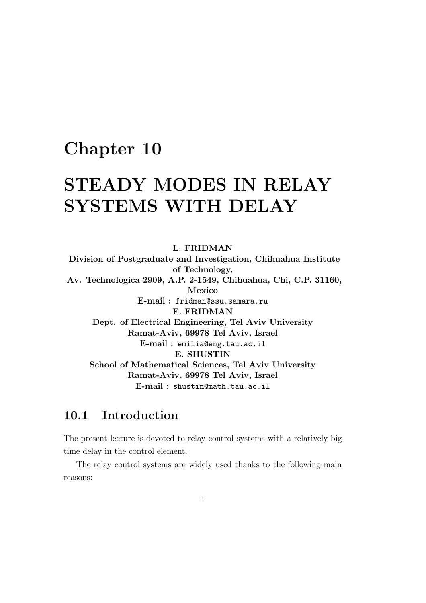## Chapter 10

# STEADY MODES IN RELAY SYSTEMS WITH DELAY

L. FRIDMAN Division of Postgraduate and Investigation, Chihuahua Institute of Technology, Av. Technologica 2909, A.P. 2-1549, Chihuahua, Chi, C.P. 31160, Mexico E-mail : fridman@ssu.samara.ru E. FRIDMAN Dept. of Electrical Engineering, Tel Aviv University Ramat-Aviv, 69978 Tel Aviv, Israel E-mail : emilia@eng.tau.ac.il E. SHUSTIN School of Mathematical Sciences, Tel Aviv University Ramat-Aviv, 69978 Tel Aviv, Israel E-mail : shustin@math.tau.ac.il

## 10.1 Introduction

The present lecture is devoted to relay control systems with a relatively big time delay in the control element.

The relay control systems are widely used thanks to the following main reasons: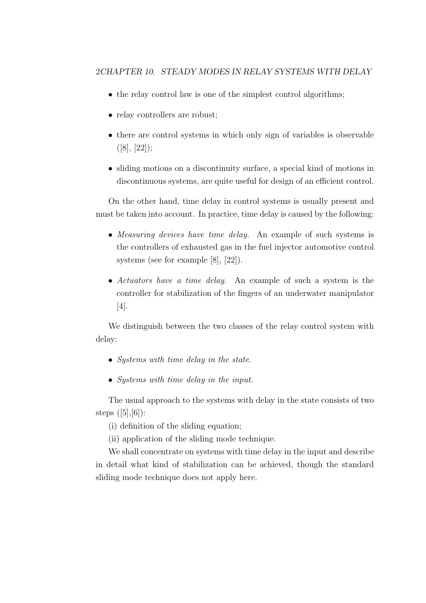- the relay control law is one of the simplest control algorithms;
- relay controllers are robust;
- there are control systems in which only sign of variables is observable  $([8], [22])$ ;
- sliding motions on a discontinuity surface, a special kind of motions in discontinuous systems, are quite useful for design of an efficient control.

On the other hand, time delay in control systems is usually present and must be taken into account. In practice, time delay is caused by the following:

- Measuring devices have time delay. An example of such systems is the controllers of exhausted gas in the fuel injector automotive control systems (see for example [8], [22]).
- Actuators have a time delay. An example of such a system is the controller for stabilization of the fingers of an underwater manipulator [4].

We distinguish between the two classes of the relay control system with delay:

- Systems with time delay in the state.
- Systems with time delay in the input.

The usual approach to the systems with delay in the state consists of two steps  $([5],[6])$ :

(i) definition of the sliding equation;

(ii) application of the sliding mode technique.

We shall concentrate on systems with time delay in the input and describe in detail what kind of stabilization can be achieved, though the standard sliding mode technique does not apply here.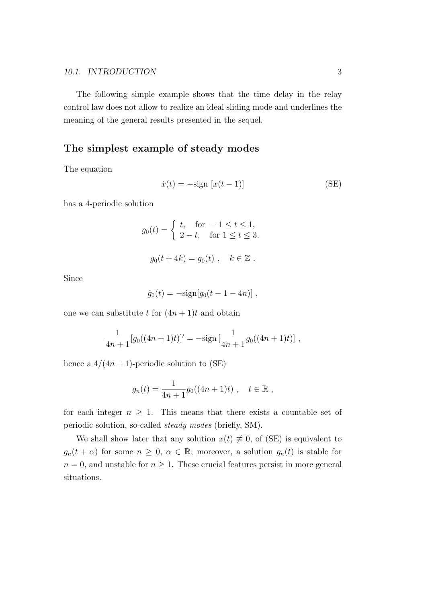The following simple example shows that the time delay in the relay control law does not allow to realize an ideal sliding mode and underlines the meaning of the general results presented in the sequel.

#### The simplest example of steady modes

The equation

$$
\dot{x}(t) = -\text{sign}\left[x(t-1)\right] \tag{SE}
$$

has a 4-periodic solution

$$
g_0(t) = \begin{cases} t, & \text{for } -1 \le t \le 1, \\ 2 - t, & \text{for } 1 \le t \le 3. \end{cases}
$$
  

$$
g_0(t + 4k) = g_0(t), \quad k \in \mathbb{Z}.
$$

Since

$$
\dot{g}_0(t) = -\text{sign}[g_0(t-1-4n)] ,
$$

one we can substitute t for  $(4n + 1)t$  and obtain

$$
\frac{1}{4n+1}[g_0((4n+1)t)]' = -\text{sign}\left[\frac{1}{4n+1}g_0((4n+1)t)\right],
$$

hence a  $4/(4n+1)$ -periodic solution to (SE)

$$
g_n(t) = \frac{1}{4n+1} g_0((4n+1)t) , \quad t \in \mathbb{R} ,
$$

for each integer  $n \geq 1$ . This means that there exists a countable set of periodic solution, so-called steady modes (briefly, SM).

We shall show later that any solution  $x(t) \neq 0$ , of (SE) is equivalent to  $g_n(t + \alpha)$  for some  $n \geq 0$ ,  $\alpha \in \mathbb{R}$ ; moreover, a solution  $g_n(t)$  is stable for  $n = 0$ , and unstable for  $n \geq 1$ . These crucial features persist in more general situations.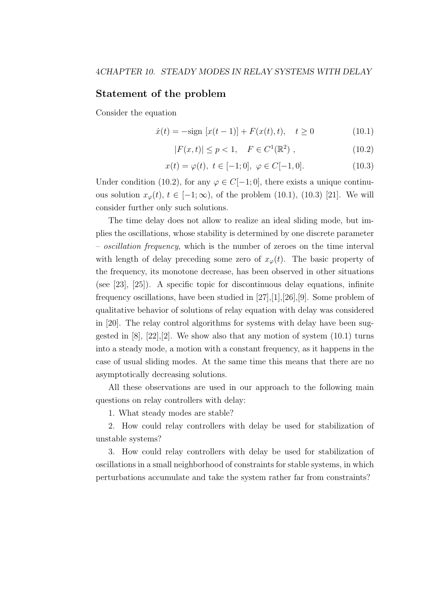#### Statement of the problem

Consider the equation

$$
\dot{x}(t) = -\text{sign}\left[x(t-1)\right] + F(x(t), t), \quad t \ge 0 \tag{10.1}
$$

$$
|F(x,t)| \le p < 1, \quad F \in C^1(\mathbb{R}^2) , \tag{10.2}
$$

$$
x(t) = \varphi(t), \ t \in [-1; 0], \ \varphi \in C[-1, 0]. \tag{10.3}
$$

Under condition (10.2), for any  $\varphi \in C[-1,0]$ , there exists a unique continuous solution  $x_{\varphi}(t)$ ,  $t \in [-1, \infty)$ , of the problem (10.1), (10.3) [21]. We will consider further only such solutions.

The time delay does not allow to realize an ideal sliding mode, but implies the oscillations, whose stability is determined by one discrete parameter – oscillation frequency, which is the number of zeroes on the time interval with length of delay preceding some zero of  $x_{\varphi}(t)$ . The basic property of the frequency, its monotone decrease, has been observed in other situations (see [23], [25]). A specific topic for discontinuous delay equations, infinite frequency oscillations, have been studied in [27],[1],[26],[9]. Some problem of qualitative behavior of solutions of relay equation with delay was considered in [20]. The relay control algorithms for systems with delay have been suggested in  $[8]$ ,  $[22]$ ,  $[2]$ . We show also that any motion of system  $(10.1)$  turns into a steady mode, a motion with a constant frequency, as it happens in the case of usual sliding modes. At the same time this means that there are no asymptotically decreasing solutions.

All these observations are used in our approach to the following main questions on relay controllers with delay:

1. What steady modes are stable?

2. How could relay controllers with delay be used for stabilization of unstable systems?

3. How could relay controllers with delay be used for stabilization of oscillations in a small neighborhood of constraints for stable systems, in which perturbations accumulate and take the system rather far from constraints?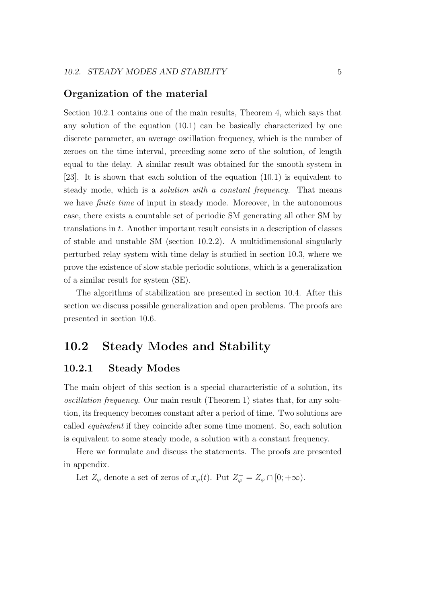#### Organization of the material

Section 10.2.1 contains one of the main results, Theorem 4, which says that any solution of the equation (10.1) can be basically characterized by one discrete parameter, an average oscillation frequency, which is the number of zeroes on the time interval, preceding some zero of the solution, of length equal to the delay. A similar result was obtained for the smooth system in [23]. It is shown that each solution of the equation (10.1) is equivalent to steady mode, which is a *solution with a constant frequency*. That means we have *finite time* of input in steady mode. Moreover, in the autonomous case, there exists a countable set of periodic SM generating all other SM by translations in t. Another important result consists in a description of classes of stable and unstable SM (section 10.2.2). A multidimensional singularly perturbed relay system with time delay is studied in section 10.3, where we prove the existence of slow stable periodic solutions, which is a generalization of a similar result for system (SE).

The algorithms of stabilization are presented in section 10.4. After this section we discuss possible generalization and open problems. The proofs are presented in section 10.6.

## 10.2 Steady Modes and Stability

#### 10.2.1 Steady Modes

The main object of this section is a special characteristic of a solution, its oscillation frequency. Our main result (Theorem 1) states that, for any solution, its frequency becomes constant after a period of time. Two solutions are called equivalent if they coincide after some time moment. So, each solution is equivalent to some steady mode, a solution with a constant frequency.

Here we formulate and discuss the statements. The proofs are presented in appendix.

Let  $Z_{\varphi}$  denote a set of zeros of  $x_{\varphi}(t)$ . Put  $Z_{\varphi}^{+} = Z_{\varphi} \cap [0; +\infty)$ .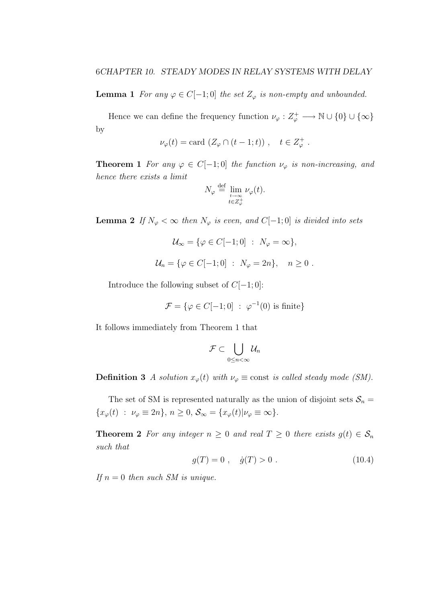**Lemma 1** For any  $\varphi \in C[-1,0]$  the set  $Z_{\varphi}$  is non-empty and unbounded.

Hence we can define the frequency function  $\nu_{\varphi}: Z_{\varphi}^+ \longrightarrow \mathbb{N} \cup \{0\} \cup \{\infty\}$ by

$$
\nu_{\varphi}(t) = \text{card} \left( Z_{\varphi} \cap (t - 1; t) \right), \quad t \in Z_{\varphi}^{+} .
$$

**Theorem 1** For any  $\varphi \in C[-1,0]$  the function  $\nu_{\varphi}$  is non-increasing, and hence there exists a limit

$$
N_{\varphi} \stackrel{\text{def}}{=} \lim_{\substack{t \to \infty \\ t \in Z_{\varphi}^+}} \nu_{\varphi}(t).
$$

**Lemma 2** If  $N_{\varphi} < \infty$  then  $N_{\varphi}$  is even, and  $C[-1,0]$  is divided into sets

$$
\mathcal{U}_{\infty} = \{ \varphi \in C[-1;0] : N_{\varphi} = \infty \},
$$
  

$$
\mathcal{U}_{n} = \{ \varphi \in C[-1;0] : N_{\varphi} = 2n \}, \quad n \ge 0.
$$

Introduce the following subset of  $C[-1,0]$ :

$$
\mathcal{F} = \{ \varphi \in C[-1;0] \ : \ \varphi^{-1}(0) \text{ is finite} \}
$$

It follows immediately from Theorem 1 that

$$
\mathcal{F}\subset\bigcup_{0\leq n<\infty}\mathcal{U}_n
$$

**Definition 3** A solution  $x_{\varphi}(t)$  with  $\nu_{\varphi} \equiv$  const is called steady mode (SM).

The set of SM is represented naturally as the union of disjoint sets  $S_n$  =  $\{x_\varphi(t)\ :\ \nu_\varphi\equiv 2n\},\, n\geq 0,\, \mathcal{S}_\infty=\{x_\varphi(t)|\nu_\varphi\equiv \infty\}.$ 

**Theorem 2** For any integer  $n \geq 0$  and real  $T \geq 0$  there exists  $g(t) \in S_n$ such that

$$
g(T) = 0 \; , \quad \dot{g}(T) > 0 \; . \tag{10.4}
$$

If  $n = 0$  then such SM is unique.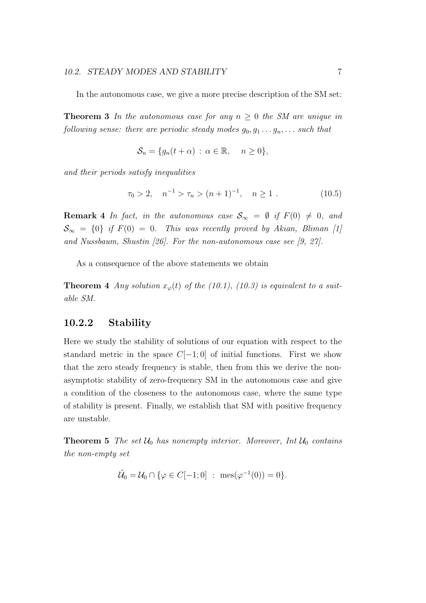In the autonomous case, we give a more precise description of the SM set:

**Theorem 3** In the autonomous case for any  $n \geq 0$  the SM are unique in following sense: there are periodic steady modes  $g_0, g_1 \ldots g_n, \ldots$  such that

$$
\mathcal{S}_n = \{ g_n(t + \alpha) \, : \, \alpha \in \mathbb{R}, \quad n \ge 0 \},
$$

and their periods satisfy inequalities

$$
\tau_0 > 2, \quad n^{-1} > \tau_n > (n+1)^{-1}, \quad n \ge 1. \tag{10.5}
$$

**Remark 4** In fact, in the autonomous case  $S_{\infty} = \emptyset$  if  $F(0) \neq 0$ , and  $\mathcal{S}_{\infty} = \{0\}$  if  $F(0) = 0$ . This was recently proved by Akian, Bliman [1] and Nussbaum, Shustin [26]. For the non-autonomous case see [9, 27].

As a consequence of the above statements we obtain

**Theorem 4** Any solution  $x_{\varphi}(t)$  of the (10.1), (10.3) is equivalent to a suitable SM.

#### 10.2.2 Stability

Here we study the stability of solutions of our equation with respect to the standard metric in the space  $C[-1,0]$  of initial functions. First we show that the zero steady frequency is stable, then from this we derive the nonasymptotic stability of zero-frequency SM in the autonomous case and give a condition of the closeness to the autonomous case, where the same type of stability is present. Finally, we establish that SM with positive frequency are unstable.

**Theorem 5** The set  $U_0$  has nonempty interior. Moreover, Int  $U_0$  contains the non-empty set

$$
\tilde{\mathcal{U}}_0 = \mathcal{U}_0 \cap \{ \varphi \in C[-1;0] : \text{mes}(\varphi^{-1}(0)) = 0 \}.
$$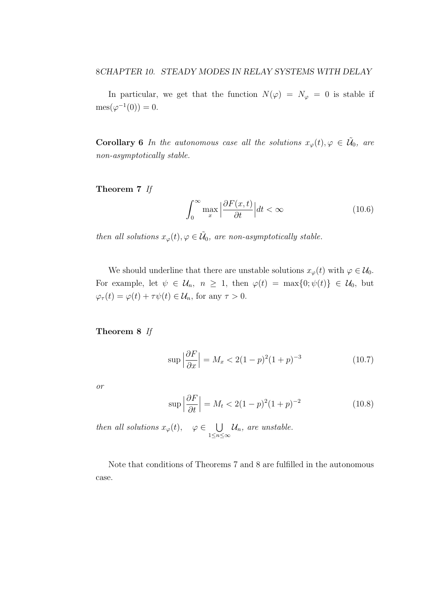In particular, we get that the function  $N(\varphi) = N_{\varphi} = 0$  is stable if  $\text{mes}(\varphi^{-1}(0)) = 0.$ 

**Corollary 6** In the autonomous case all the solutions  $x_{\varphi}(t), \varphi \in \tilde{U}_0$ , are non-asymptotically stable.

Theorem 7 If

$$
\int_0^\infty \max_x \left| \frac{\partial F(x,t)}{\partial t} \right| dt < \infty \tag{10.6}
$$

then all solutions  $x_{\varphi}(t), \varphi \in \tilde{\mathcal{U}}_0$ , are non-asymptotically stable.

We should underline that there are unstable solutions  $x_{\varphi}(t)$  with  $\varphi \in \mathcal{U}_0$ . For example, let  $\psi \in \mathcal{U}_n$ ,  $n \geq 1$ , then  $\varphi(t) = \max\{0; \psi(t)\} \in \mathcal{U}_0$ , but  $\varphi_{\tau}(t) = \varphi(t) + \tau \psi(t) \in \mathcal{U}_n$ , for any  $\tau > 0$ .

Theorem 8 If

$$
\sup \left| \frac{\partial F}{\partial x} \right| = M_x < 2(1 - p)^2 (1 + p)^{-3} \tag{10.7}
$$

or

$$
\sup \left| \frac{\partial F}{\partial t} \right| = M_t < 2(1 - p)^2 (1 + p)^{-2} \tag{10.8}
$$

then all solutions  $x_{\varphi}(t)$ ,  $\varphi \in$ S 1≤n≤∞  $\mathcal{U}_n$ , are unstable.

Note that conditions of Theorems 7 and 8 are fulfilled in the autonomous case.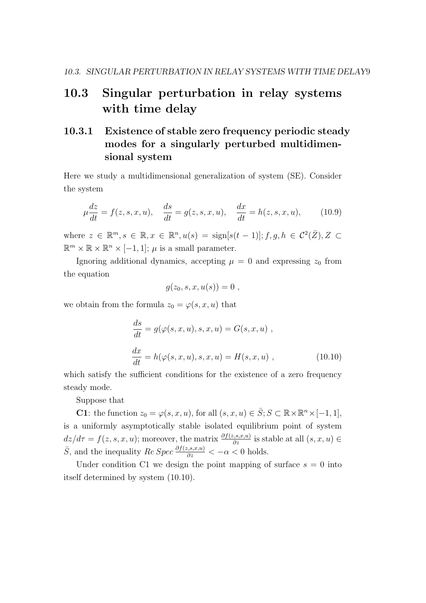## 10.3 Singular perturbation in relay systems with time delay

## 10.3.1 Existence of stable zero frequency periodic steady modes for a singularly perturbed multidimensional system

Here we study a multidimensional generalization of system (SE). Consider the system

$$
\mu \frac{dz}{dt} = f(z, s, x, u), \quad \frac{ds}{dt} = g(z, s, x, u), \quad \frac{dx}{dt} = h(z, s, x, u), \quad (10.9)
$$

where  $z \in \mathbb{R}^m, s \in \mathbb{R}, x \in \mathbb{R}^n, u(s) = \text{sign}[s(t-1)]; f, g, h \in C^2(\bar{Z}), Z \subset$  $\mathbb{R}^m \times \mathbb{R} \times \mathbb{R}^n \times [-1,1];$   $\mu$  is a small parameter.

Ignoring additional dynamics, accepting  $\mu = 0$  and expressing  $z_0$  from the equation

$$
g(z_0, s, x, u(s)) = 0,
$$

we obtain from the formula  $z_0 = \varphi(s, x, u)$  that

$$
\frac{ds}{dt} = g(\varphi(s, x, u), s, x, u) = G(s, x, u) ,
$$
  

$$
\frac{dx}{dt} = h(\varphi(s, x, u), s, x, u) = H(s, x, u) ,
$$
 (10.10)

which satisfy the sufficient conditions for the existence of a zero frequency steady mode.

Suppose that

**C1**: the function  $z_0 = \varphi(s, x, u)$ , for all  $(s, x, u) \in \overline{S}$ ;  $S \subset \mathbb{R} \times \mathbb{R}^n \times [-1, 1]$ , is a uniformly asymptotically stable isolated equilibrium point of system  $dz/d\tau = f(z, s, x, u)$ ; moreover, the matrix  $\frac{\partial f(z, s, x, u)}{\partial z}$  is stable at all  $(s, x, u) \in$  $\bar{S}$ , and the inequality  $\text{Re Spec } \frac{\partial f(z,s,x,u)}{\partial z} < -\alpha < 0$  holds.

Under condition C1 we design the point mapping of surface  $s = 0$  into itself determined by system (10.10).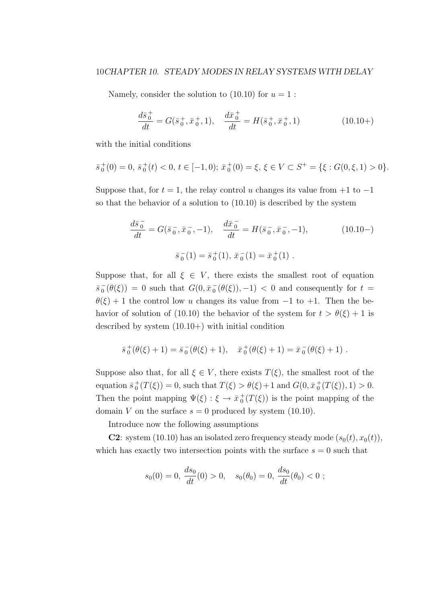#### 10CHAPTER 10. STEADY MODES IN RELAY SYSTEMS WITH DELAY

Namely, consider the solution to  $(10.10)$  for  $u = 1$ :

$$
\frac{d\bar{s}\,_{0}^{+}}{dt} = G(\bar{s}\,_{0}^{+}, \bar{x}\,_{0}^{+}, 1), \quad \frac{d\bar{x}\,_{0}^{+}}{dt} = H(\bar{s}\,_{0}^{+}, \bar{x}\,_{0}^{+}, 1) \tag{10.10+}
$$

with the initial conditions

$$
\bar{s}_0^+(0) = 0, \, \bar{s}_0^+(t) < 0, \, t \in [-1, 0); \, \bar{x}_0^+(0) = \xi, \, \xi \in V \subset S^+ = \{\xi : G(0, \xi, 1) > 0\}.
$$

Suppose that, for  $t = 1$ , the relay control u changes its value from  $+1$  to  $-1$ so that the behavior of a solution to (10.10) is described by the system

$$
\frac{d\bar{s}\,_{0}^{-}}{dt} = G(\bar{s}\,_{0}^{-}, \bar{x}\,_{0}^{-}, -1), \quad \frac{d\bar{x}\,_{0}^{-}}{dt} = H(\bar{s}\,_{0}^{-}, \bar{x}\,_{0}^{-}, -1), \tag{10.10-}
$$
\n
$$
\bar{s}\,_{0}^{-}(1) = \bar{s}\,_{0}^{+}(1), \, \bar{x}\,_{0}^{-}(1) = \bar{x}\,_{0}^{+}(1) .
$$

Suppose that, for all  $\xi \in V$ , there exists the smallest root of equation  $\bar{s}_0(\theta(\xi)) = 0$  such that  $G(0, \bar{x}_0(\theta(\xi)) - 1) < 0$  and consequently for  $t =$  $\theta(\xi) + 1$  the control low u changes its value from  $-1$  to  $+1$ . Then the behavior of solution of (10.10) the behavior of the system for  $t > \theta(\xi) + 1$  is described by system (10.10+) with initial condition

$$
\bar{s}_0^+(\theta(\xi)+1) = \bar{s}_0^-(\theta(\xi)+1), \quad \bar{x}_0^+(\theta(\xi)+1) = \bar{x}_0^-(\theta(\xi)+1).
$$

Suppose also that, for all  $\xi \in V$ , there exists  $T(\xi)$ , the smallest root of the equation  $\bar{s}_0^+(T(\xi)) = 0$ , such that  $T(\xi) > \theta(\xi) + 1$  and  $G(0, \bar{x}_0^+(T(\xi)), 1) > 0$ . Then the point mapping  $\Psi(\xi) : \xi \to \bar{x}_0^+(T(\xi))$  is the point mapping of the domain V on the surface  $s = 0$  produced by system (10.10).

Introduce now the following assumptions

**C2**: system (10.10) has an isolated zero frequency steady mode  $(s_0(t), x_0(t))$ , which has exactly two intersection points with the surface  $s = 0$  such that

$$
s_0(0) = 0, \frac{ds_0}{dt}(0) > 0, \quad s_0(\theta_0) = 0, \frac{ds_0}{dt}(\theta_0) < 0 ;
$$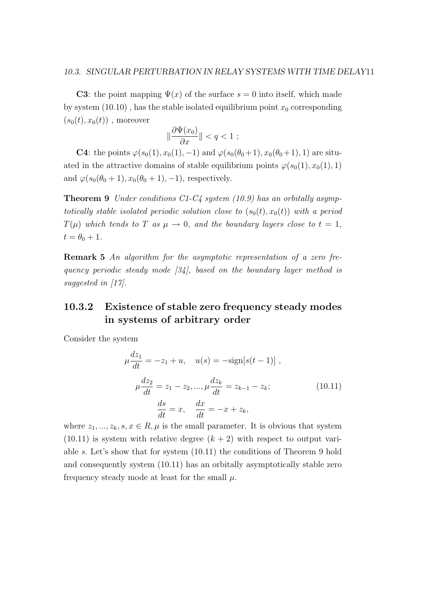**C3**: the point mapping  $\Psi(x)$  of the surface  $s = 0$  into itself, which made by system  $(10.10)$ , has the stable isolated equilibrium point  $x_0$  corresponding  $(s_0(t), x_0(t))$ , moreover

$$
\|\frac{\partial \Psi(x_0)}{\partial x}\| < q < 1 \; ;
$$

**C4**: the points  $\varphi(s_0(1), x_0(1), -1)$  and  $\varphi(s_0(\theta_0+1), x_0(\theta_0+1), 1)$  are situated in the attractive domains of stable equilibrium points  $\varphi(s_0(1), x_0(1), 1)$ and  $\varphi(s_0(\theta_0+1), x_0(\theta_0+1), -1)$ , respectively.

**Theorem 9** Under conditions C1-C4 system  $(10.9)$  has an orbitally asymptotically stable isolated periodic solution close to  $(s_0(t), x_0(t))$  with a period  $T(\mu)$  which tends to T as  $\mu \to 0$ , and the boundary layers close to  $t = 1$ ,  $t = \theta_0 + 1.$ 

Remark 5 An algorithm for the asymptotic representation of a zero frequency periodic steady mode  $[34]$ , based on the boundary layer method is suggested in [17].

## 10.3.2 Existence of stable zero frequency steady modes in systems of arbitrary order

Consider the system

$$
\mu \frac{dz_1}{dt} = -z_1 + u, \quad u(s) = -\text{sign}[s(t-1)] ,
$$

$$
\mu \frac{dz_2}{dt} = z_1 - z_2, ..., \mu \frac{dz_k}{dt} = z_{k-1} - z_k; \qquad (10.11)
$$

$$
\frac{ds}{dt} = x, \quad \frac{dx}{dt} = -x + z_k,
$$

where  $z_1, ..., z_k, s, x \in R$ ,  $\mu$  is the small parameter. It is obvious that system  $(10.11)$  is system with relative degree  $(k + 2)$  with respect to output variable s. Let's show that for system  $(10.11)$  the conditions of Theorem 9 hold and consequently system (10.11) has an orbitally asymptotically stable zero frequency steady mode at least for the small  $\mu$ .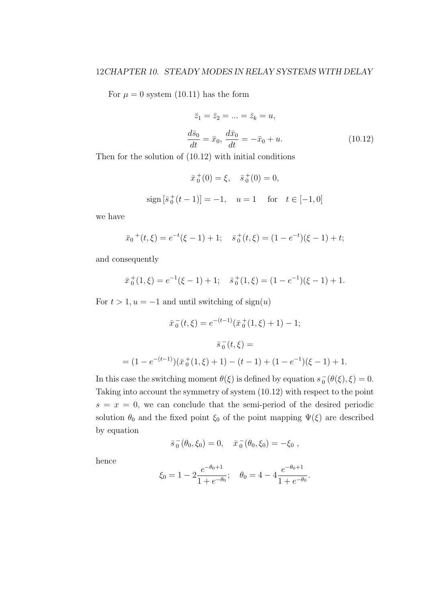For  $\mu = 0$  system (10.11) has the form

$$
\bar{z}_1 = \bar{z}_2 = \dots = \bar{z}_k = u,
$$
  
\n
$$
\frac{d\bar{s}_0}{dt} = \bar{x}_0, \frac{d\bar{x}_0}{dt} = -\bar{x}_0 + u.
$$
\n(10.12)

Then for the solution of (10.12) with initial conditions

$$
\bar{x}_0^+(0) = \xi, \quad \bar{s}_0^+(0) = 0,
$$

 $sign\left[\bar{s}_0^+(t-1)\right] = -1, \quad u = 1 \quad \text{for} \quad t \in [-1, 0]$ 

we have

$$
\bar{x}_0^+(t,\xi) = e^{-t}(\xi-1) + 1; \quad \bar{s}_0^+(t,\xi) = (1 - e^{-t})(\xi-1) + t;
$$

and consequently

$$
\bar{x}_0^+(1,\xi) = e^{-1}(\xi - 1) + 1; \quad \bar{s}_0^+(1,\xi) = (1 - e^{-1})(\xi - 1) + 1.
$$

For  $t > 1, u = -1$  and until switching of sign(u)

$$
\bar{x}_0(t,\xi) = e^{-(t-1)}(\bar{x}_0^+(1,\xi) + 1) - 1;
$$
  

$$
\bar{s}_0^-(t,\xi) =
$$
  

$$
= (1 - e^{-(t-1)})(\bar{x}_0^+(1,\xi) + 1) - (t-1) + (1 - e^{-1})(\xi - 1) + 1.
$$

In this case the switching moment  $\theta(\xi)$  is defined by equation  $s_0^-(\theta(\xi), \xi) = 0$ . Taking into account the symmetry of system (10.12) with respect to the point  $s = x = 0$ , we can conclude that the semi-period of the desired periodic solution  $\theta_0$  and the fixed point  $\xi_0$  of the point mapping  $\Psi(\xi)$  are described by equation

$$
\bar{s}_0^-(\theta_0,\xi_0)=0,\quad \bar{x}_0^-(\theta_0,\xi_0)=-\xi_0,
$$

hence

$$
\xi_0 = 1 - 2 \frac{e^{-\theta_0 + 1}}{1 + e^{-\theta_0}}; \quad \theta_0 = 4 - 4 \frac{e^{-\theta_0 + 1}}{1 + e^{-\theta_0}}.
$$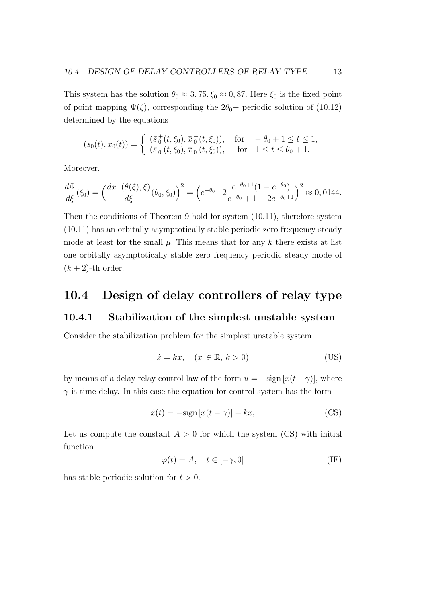This system has the solution  $\theta_0 \approx 3, 75, \xi_0 \approx 0, 87$ . Here  $\xi_0$  is the fixed point of point mapping  $\Psi(\xi)$ , corresponding the  $2\theta_0$  – periodic solution of (10.12) determined by the equations

$$
(\bar{s}_0(t), \bar{x}_0(t)) = \begin{cases} (\bar{s}_0^+(t, \xi_0), \bar{x}_0^+(t, \xi_0)), & \text{for } -\theta_0 + 1 \le t \le 1, \\ (\bar{s}_0^-(t, \xi_0), \bar{x}_0^-(t, \xi_0)), & \text{for } 1 \le t \le \theta_0 + 1. \end{cases}
$$

Moreover,

$$
\frac{d\Psi}{d\xi}(\xi_0) = \left(\frac{dx^-(\theta(\xi), \xi)}{d\xi}(\theta_0, \xi_0)\right)^2 = \left(e^{-\theta_0} - 2\frac{e^{-\theta_0 + 1}(1 - e^{-\theta_0})}{e^{-\theta_0} + 1 - 2e^{-\theta_0 + 1}}\right)^2 \approx 0,0144.
$$

Then the conditions of Theorem 9 hold for system (10.11), therefore system (10.11) has an orbitally asymptotically stable periodic zero frequency steady mode at least for the small  $\mu$ . This means that for any k there exists at list one orbitally asymptotically stable zero frequency periodic steady mode of  $(k+2)$ -th order.

## 10.4 Design of delay controllers of relay type

#### 10.4.1 Stabilization of the simplest unstable system

Consider the stabilization problem for the simplest unstable system

$$
\dot{x} = kx, \quad (x \in \mathbb{R}, k > 0)
$$
 (US)

by means of a delay relay control law of the form  $u = -\text{sign}[x(t - \gamma)]$ , where  $\gamma$  is time delay. In this case the equation for control system has the form

$$
\dot{x}(t) = -\text{sign}\left[x(t-\gamma)\right] + kx,\tag{CS}
$$

Let us compute the constant  $A > 0$  for which the system (CS) with initial function

$$
\varphi(t) = A, \quad t \in [-\gamma, 0] \tag{IF}
$$

has stable periodic solution for  $t > 0$ .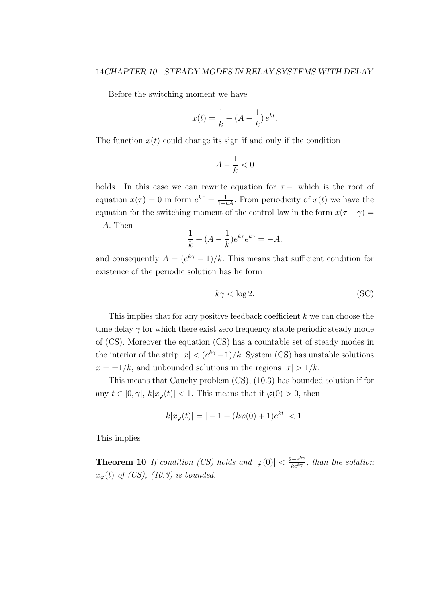Before the switching moment we have

$$
x(t) = \frac{1}{k} + (A - \frac{1}{k}) e^{kt}.
$$

The function  $x(t)$  could change its sign if and only if the condition

$$
A-\frac{1}{k}<0
$$

holds. In this case we can rewrite equation for  $\tau$  – which is the root of equation  $x(\tau) = 0$  in form  $e^{k\tau} = \frac{1}{1-k}$ . From periodicity of  $x(t)$  we have the equation for the switching moment of the control law in the form  $x(\tau + \gamma) =$ −A. Then

$$
\frac{1}{k}+(A-\frac{1}{k})e^{k\tau}e^{k\gamma}=-A,
$$

and consequently  $A = (e^{k\gamma} - 1)/k$ . This means that sufficient condition for existence of the periodic solution has he form

$$
k\gamma < \log 2. \tag{SC}
$$

This implies that for any positive feedback coefficient  $k$  we can choose the time delay  $\gamma$  for which there exist zero frequency stable periodic steady mode of (CS). Moreover the equation (CS) has a countable set of steady modes in the interior of the strip  $|x| < (e^{k\gamma}-1)/k$ . System (CS) has unstable solutions  $x = \pm 1/k$ , and unbounded solutions in the regions  $|x| > 1/k$ .

This means that Cauchy problem (CS), (10.3) has bounded solution if for any  $t \in [0, \gamma], k|x_{\varphi}(t)| < 1$ . This means that if  $\varphi(0) > 0$ , then

$$
k|x_{\varphi}(t)| = |-1 + (k\varphi(0) + 1)e^{kt}| < 1.
$$

This implies

**Theorem 10** If condition (CS) holds and  $|\varphi(0)| < \frac{2-e^{k\gamma}}{ke^{k\gamma}}$ , than the solution  $x_{\varphi}(t)$  of (CS), (10.3) is bounded.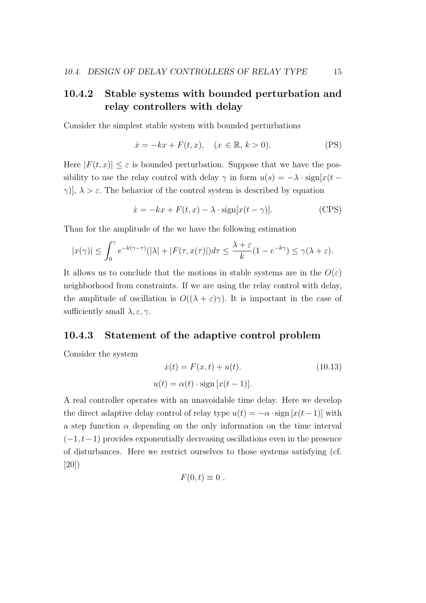## 10.4.2 Stable systems with bounded perturbation and relay controllers with delay

Consider the simplest stable system with bounded perturbations

$$
\dot{x} = -kx + F(t, x), \quad (x \in \mathbb{R}, k > 0). \tag{PS}
$$

Here  $|F(t, x)| \leq \varepsilon$  is bounded perturbation. Suppose that we have the possibility to use the relay control with delay  $\gamma$  in form  $u(s) = -\lambda \cdot \text{sign}[x(t \gamma$ ],  $\lambda > \varepsilon$ . The behavior of the control system is described by equation

$$
\dot{x} = -kx + F(t, x) - \lambda \cdot \text{sign}[x(t - \gamma)].
$$
 (CPS)

Than for the amplitude of the we have the following estimation

$$
|x(\gamma)| \leq \int_0^{\gamma} e^{-k(\gamma - \tau)}(|\lambda| + |F(\tau, x(\tau)|)d\tau \leq \frac{\lambda + \varepsilon}{k}(1 - e^{-k\gamma}) \leq \gamma(\lambda + \varepsilon).
$$

It allows us to conclude that the motions in stable systems are in the  $O(\varepsilon)$ neighborhood from constraints. If we are using the relay control with delay, the amplitude of oscillation is  $O((\lambda + \varepsilon)\gamma)$ . It is important in the case of sufficiently small  $\lambda, \varepsilon, \gamma$ .

#### 10.4.3 Statement of the adaptive control problem

Consider the system

$$
\dot{x}(t) = F(x, t) + u(t). \qquad (10.13)
$$

$$
u(t) = \alpha(t) \cdot \text{sign}[x(t-1)].
$$

A real controller operates with an unavoidable time delay. Here we develop the direct adaptive delay control of relay type  $u(t) = -\alpha \cdot \text{sign}[x(t-1)]$  with a step function  $\alpha$  depending on the only information on the time interval  $(-1, t-1)$  provides exponentially decreasing oscillations even in the presence of disturbances. Here we restrict ourselves to those systems satisfying (cf. [20])

$$
F(0,t)\equiv 0.
$$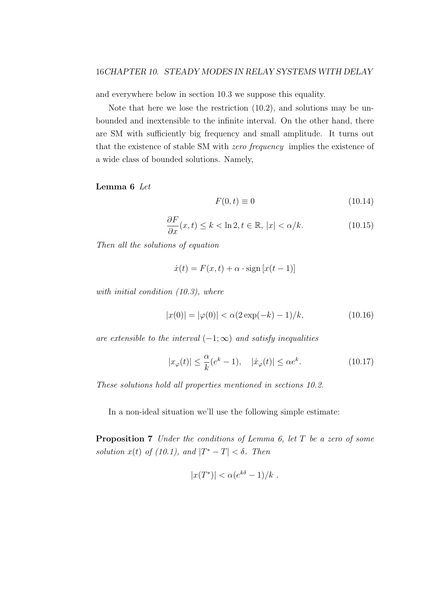and everywhere below in section 10.3 we suppose this equality.

Note that here we lose the restriction (10.2), and solutions may be unbounded and inextensible to the infinite interval. On the other hand, there are SM with sufficiently big frequency and small amplitude. It turns out that the existence of stable SM with zero frequency implies the existence of a wide class of bounded solutions. Namely,

Lemma 6 Let

$$
F(0,t) \equiv 0 \tag{10.14}
$$

$$
\frac{\partial F}{\partial x}(x,t) \le k < \ln 2, t \in \mathbb{R}, \ |x| < \alpha/k. \tag{10.15}
$$

Then all the solutions of equation

$$
\dot{x}(t) = F(x, t) + \alpha \cdot \text{sign}[x(t-1)]
$$

with initial condition (10.3), where

$$
|x(0)| = |\varphi(0)| < \alpha(2\exp(-k) - 1)/k,\tag{10.16}
$$

are extensible to the interval  $(-1, \infty)$  and satisfy inequalities

$$
|x_{\varphi}(t)| \le \frac{\alpha}{k}(e^k - 1), \quad |\dot{x}_{\varphi}(t)| \le \alpha e^k. \tag{10.17}
$$

These solutions hold all properties mentioned in sections 10.2.

In a non-ideal situation we'll use the following simple estimate:

Proposition 7 Under the conditions of Lemma 6, let T be a zero of some solution  $x(t)$  of (10.1), and  $|T^* - T| < \delta$ . Then

$$
|x(T^*)| < \alpha (e^{k\delta} - 1)/k \, .
$$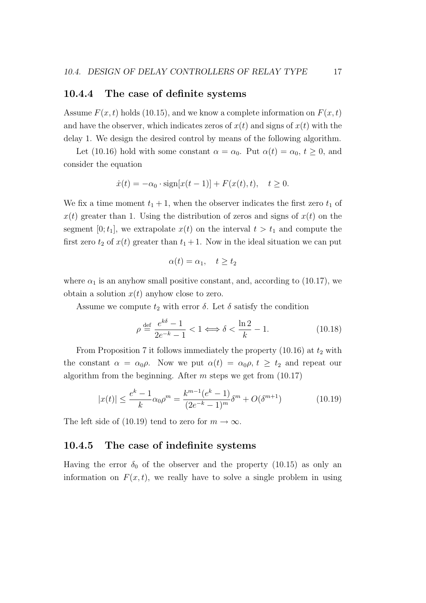#### 10.4.4 The case of definite systems

Assume  $F(x, t)$  holds (10.15), and we know a complete information on  $F(x, t)$ and have the observer, which indicates zeros of  $x(t)$  and signs of  $x(t)$  with the delay 1. We design the desired control by means of the following algorithm.

Let (10.16) hold with some constant  $\alpha = \alpha_0$ . Put  $\alpha(t) = \alpha_0, t \geq 0$ , and consider the equation

$$
\dot{x}(t) = -\alpha_0 \cdot \text{sign}[x(t-1)] + F(x(t), t), \quad t \ge 0.
$$

We fix a time moment  $t_1 + 1$ , when the observer indicates the first zero  $t_1$  of  $x(t)$  greater than 1. Using the distribution of zeros and signs of  $x(t)$  on the segment [0;  $t_1$ ], we extrapolate  $x(t)$  on the interval  $t > t_1$  and compute the first zero  $t_2$  of  $x(t)$  greater than  $t_1 + 1$ . Now in the ideal situation we can put

$$
\alpha(t) = \alpha_1, \quad t \ge t_2
$$

where  $\alpha_1$  is an anyhow small positive constant, and, according to (10.17), we obtain a solution  $x(t)$  anyhow close to zero.

Assume we compute  $t_2$  with error  $\delta$ . Let  $\delta$  satisfy the condition

$$
\rho \stackrel{\text{def}}{=} \frac{e^{k\delta} - 1}{2e^{-k} - 1} < 1 \Longleftrightarrow \delta < \frac{\ln 2}{k} - 1. \tag{10.18}
$$

From Proposition 7 it follows immediately the property  $(10.16)$  at  $t_2$  with the constant  $\alpha = \alpha_0 \rho$ . Now we put  $\alpha(t) = \alpha_0 \rho$ ,  $t \geq t_2$  and repeat our algorithm from the beginning. After  $m$  steps we get from  $(10.17)$ 

$$
|x(t)| \le \frac{e^k - 1}{k} \alpha_0 \rho^m = \frac{k^{m-1}(e^k - 1)}{(2e^{-k} - 1)^m} \delta^m + O(\delta^{m+1})
$$
(10.19)

The left side of (10.19) tend to zero for  $m \to \infty$ .

#### 10.4.5 The case of indefinite systems

Having the error  $\delta_0$  of the observer and the property (10.15) as only an information on  $F(x, t)$ , we really have to solve a single problem in using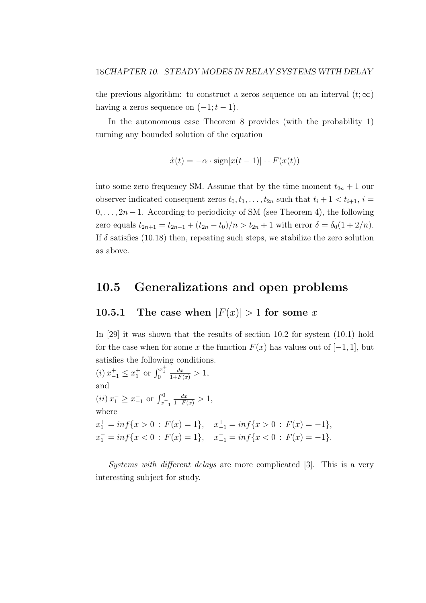the previous algorithm: to construct a zeros sequence on an interval  $(t; \infty)$ having a zeros sequence on  $(-1; t - 1)$ .

In the autonomous case Theorem 8 provides (with the probability 1) turning any bounded solution of the equation

$$
\dot{x}(t) = -\alpha \cdot \text{sign}[x(t-1)] + F(x(t))
$$

into some zero frequency SM. Assume that by the time moment  $t_{2n} + 1$  our observer indicated consequent zeros  $t_0, t_1, \ldots, t_{2n}$  such that  $t_i + 1 < t_{i+1}$ ,  $i =$  $0, \ldots, 2n-1$ . According to periodicity of SM (see Theorem 4), the following zero equals  $t_{2n+1} = t_{2n-1} + (t_{2n} - t_0)/n > t_{2n} + 1$  with error  $\delta = \delta_0(1 + 2/n)$ . If  $\delta$  satisfies (10.18) then, repeating such steps, we stabilize the zero solution as above.

## 10.5 Generalizations and open problems

#### 10.5.1 The case when  $|F(x)| > 1$  for some x

In [29] it was shown that the results of section 10.2 for system (10.1) hold for the case when for some x the function  $F(x)$  has values out of  $[-1, 1]$ , but satisfies the following conditions.

(i) 
$$
x_{-1}^{\dagger} \le x_1^{\dagger}
$$
 or  $\int_0^{x_1^{\dagger}} \frac{dx}{1 + F(x)} > 1$ ,  
and  
(ii)  $x_1^- \ge x_{-1}^-$  or  $\int_{x_{-1}^-}^0 \frac{dx}{1 - F(x)} > 1$ ,  
where  
 $x_1^{\dagger} = \inf\{x > 0 : F(x) = 1\}$ ,  $x_{-1}^{\dagger} = \inf\{x > 0 : F(x) = -1\}$ ,  
 $x_1^- = \inf\{x < 0 : F(x) = 1\}$ ,  $x_{-1}^- = \inf\{x < 0 : F(x) = -1\}$ .

Systems with different delays are more complicated [3]. This is a very interesting subject for study.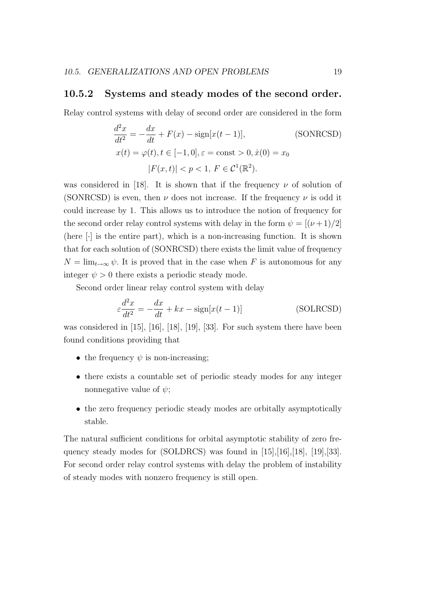#### 10.5.2 Systems and steady modes of the second order.

Relay control systems with delay of second order are considered in the form

$$
\frac{d^2x}{dt^2} = -\frac{dx}{dt} + F(x) - \text{sign}[x(t-1)],
$$
 (SONRCSD)  

$$
x(t) = \varphi(t), t \in [-1, 0], \varepsilon = \text{const} > 0, \dot{x}(0) = x_0
$$
  

$$
|F(x, t)| < p < 1, F \in \mathcal{C}^1(\mathbb{R}^2).
$$

was considered in [18]. It is shown that if the frequency  $\nu$  of solution of (SONRCSD) is even, then  $\nu$  does not increase. If the frequency  $\nu$  is odd it could increase by 1. This allows us to introduce the notion of frequency for the second order relay control systems with delay in the form  $\psi = (\nu + 1)/2$ (here  $\lceil \cdot \rceil$  is the entire part), which is a non-increasing function. It is shown that for each solution of (SONRCSD) there exists the limit value of frequency  $N = \lim_{t\to\infty} \psi$ . It is proved that in the case when F is autonomous for any integer  $\psi > 0$  there exists a periodic steady mode.

Second order linear relay control system with delay

$$
\varepsilon \frac{d^2 x}{dt^2} = -\frac{dx}{dt} + kx - \text{sign}[x(t-1)]
$$
 (SOLRCSD)

was considered in [15], [16], [18], [19], [33]. For such system there have been found conditions providing that

- the frequency  $\psi$  is non-increasing;
- there exists a countable set of periodic steady modes for any integer nonnegative value of  $\psi$ ;
- the zero frequency periodic steady modes are orbitally asymptotically stable.

The natural sufficient conditions for orbital asymptotic stability of zero frequency steady modes for (SOLDRCS) was found in [15],[16],[18], [19],[33]. For second order relay control systems with delay the problem of instability of steady modes with nonzero frequency is still open.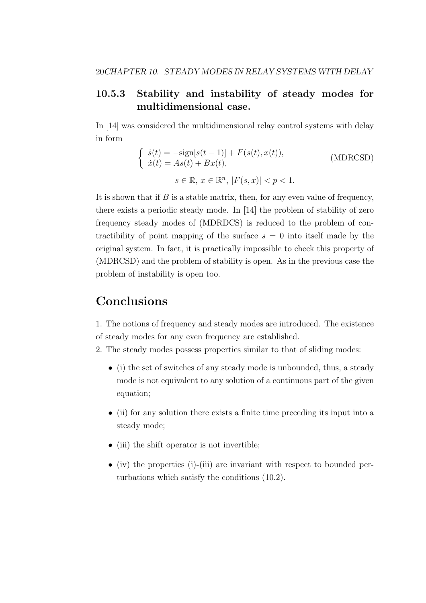## 10.5.3 Stability and instability of steady modes for multidimensional case.

In [14] was considered the multidimensional relay control systems with delay in form ½

$$
\begin{cases}\n\dot{s}(t) = -\text{sign}[s(t-1)] + F(s(t), x(t)), \\
\dot{x}(t) = As(t) + Bx(t), \\
s \in \mathbb{R}, x \in \mathbb{R}^n, |F(s, x)| < p < 1.\n\end{cases} \tag{MDRCSD}
$$

It is shown that if  $B$  is a stable matrix, then, for any even value of frequency, there exists a periodic steady mode. In [14] the problem of stability of zero frequency steady modes of (MDRDCS) is reduced to the problem of contractibility of point mapping of the surface  $s = 0$  into itself made by the original system. In fact, it is practically impossible to check this property of (MDRCSD) and the problem of stability is open. As in the previous case the problem of instability is open too.

## Conclusions

1. The notions of frequency and steady modes are introduced. The existence of steady modes for any even frequency are established.

- 2. The steady modes possess properties similar to that of sliding modes:
	- (i) the set of switches of any steady mode is unbounded, thus, a steady mode is not equivalent to any solution of a continuous part of the given equation;
	- (ii) for any solution there exists a finite time preceding its input into a steady mode;
	- (iii) the shift operator is not invertible;
	- (iv) the properties (i)-(iii) are invariant with respect to bounded perturbations which satisfy the conditions (10.2).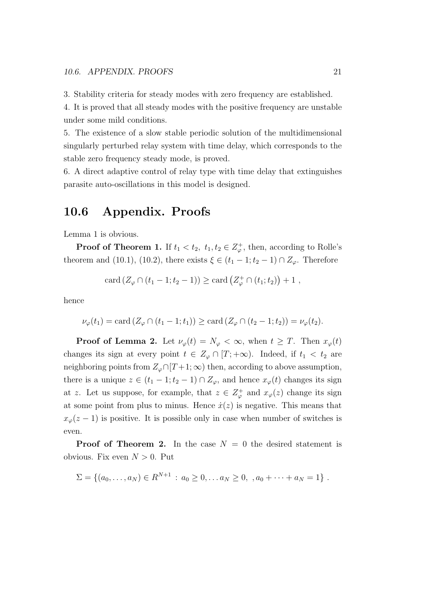3. Stability criteria for steady modes with zero frequency are established.

4. It is proved that all steady modes with the positive frequency are unstable under some mild conditions.

5. The existence of a slow stable periodic solution of the multidimensional singularly perturbed relay system with time delay, which corresponds to the stable zero frequency steady mode, is proved.

6. A direct adaptive control of relay type with time delay that extinguishes parasite auto-oscillations in this model is designed.

## 10.6 Appendix. Proofs

Lemma 1 is obvious.

**Proof of Theorem 1.** If  $t_1 < t_2$ ,  $t_1, t_2 \in \mathbb{Z}_{\varphi}^+$ , then, according to Rolle's theorem and (10.1), (10.2), there exists  $\xi \in (t_1 - 1; t_2 - 1) \cap Z_{\varphi}$ . Therefore

card 
$$
(Z_{\varphi} \cap (t_1 - 1; t_2 - 1)) \geq
$$
 card  $(Z_{\varphi}^+ \cap (t_1; t_2)) + 1$ ,

hence

$$
\nu_{\varphi}(t_1) = \text{card} \left( Z_{\varphi} \cap (t_1 - 1; t_1) \right) \ge \text{card} \left( Z_{\varphi} \cap (t_2 - 1; t_2) \right) = \nu_{\varphi}(t_2).
$$

**Proof of Lemma 2.** Let  $\nu_{\varphi}(t) = N_{\varphi} < \infty$ , when  $t \geq T$ . Then  $x_{\varphi}(t)$ changes its sign at every point  $t \in Z_\varphi \cap [T; +\infty)$ . Indeed, if  $t_1 < t_2$  are neighboring points from  $Z_{\varphi} \cap [T+1; \infty)$  then, according to above assumption, there is a unique  $z \in (t_1 - 1; t_2 - 1) \cap Z_{\varphi}$ , and hence  $x_{\varphi}(t)$  changes its sign at z. Let us suppose, for example, that  $z \in Z^+_{\varphi}$  and  $x_{\varphi}(z)$  change its sign at some point from plus to minus. Hence  $\dot{x}(z)$  is negative. This means that  $x_{\varphi}(z-1)$  is positive. It is possible only in case when number of switches is even.

**Proof of Theorem 2.** In the case  $N = 0$  the desired statement is obvious. Fix even  $N > 0$ . Put

$$
\Sigma = \{(a_0, \ldots, a_N) \in R^{N+1} : a_0 \ge 0, \ldots a_N \ge 0, \, a_0 + \cdots + a_N = 1\}.
$$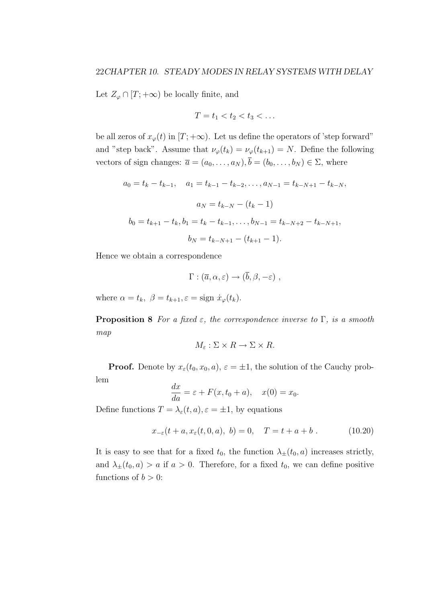Let  $Z_{\varphi} \cap [T; +\infty)$  be locally finite, and

$$
T=t_1 < t_2 < t_3 < \ldots
$$

be all zeros of  $x_{\varphi}(t)$  in  $[T; +\infty)$ . Let us define the operators of 'step forward" and "step back". Assume that  $\nu_{\varphi}(t_k) = \nu_{\varphi}(t_{k+1}) = N$ . Define the following vectors of sign changes:  $\overline{a} = (a_0, \ldots, a_N), \overline{b} = (b_0, \ldots, b_N) \in \Sigma$ , where

$$
a_0 = t_k - t_{k-1}, \quad a_1 = t_{k-1} - t_{k-2}, \dots, a_{N-1} = t_{k-N+1} - t_{k-N},
$$
  

$$
a_N = t_{k-N} - (t_k - 1)
$$
  

$$
b_0 = t_{k+1} - t_k, b_1 = t_k - t_{k-1}, \dots, b_{N-1} = t_{k-N+2} - t_{k-N+1},
$$
  

$$
b_N = t_{k-N+1} - (t_{k+1} - 1).
$$

Hence we obtain a correspondence

$$
\Gamma : (\overline{a}, \alpha, \varepsilon) \to (\overline{b}, \beta, -\varepsilon) ,
$$

where  $\alpha = t_k$ ,  $\beta = t_{k+1}$ ,  $\varepsilon = \text{sign } \dot{x}_\varphi(t_k)$ .

**Proposition 8** For a fixed  $\varepsilon$ , the correspondence inverse to  $\Gamma$ , is a smooth map

$$
M_{\varepsilon} : \Sigma \times R \to \Sigma \times R.
$$

**Proof.** Denote by  $x_{\varepsilon}(t_0, x_0, a)$ ,  $\varepsilon = \pm 1$ , the solution of the Cauchy problem  $\overline{ }$ 

$$
\frac{dx}{da} = \varepsilon + F(x, t_0 + a), \quad x(0) = x_0.
$$

Define functions  $T = \lambda_{\varepsilon}(t, a), \varepsilon = \pm 1$ , by equations

$$
x_{-\varepsilon}(t + a, x_{\varepsilon}(t, 0, a), b) = 0, \quad T = t + a + b.
$$
 (10.20)

It is easy to see that for a fixed  $t_0$ , the function  $\lambda_{\pm}(t_0, a)$  increases strictly, and  $\lambda_{\pm}(t_0, a) > a$  if  $a > 0$ . Therefore, for a fixed  $t_0$ , we can define positive functions of  $b > 0$ :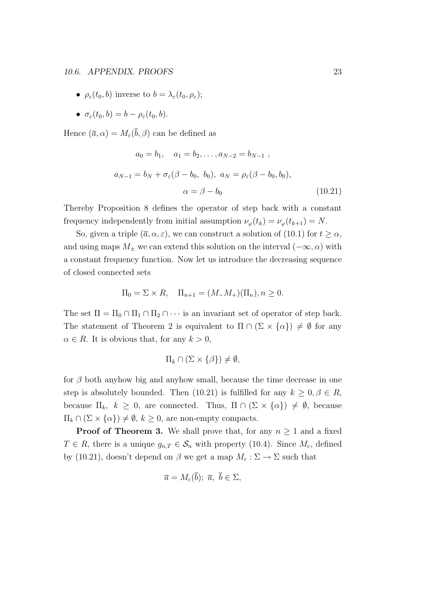- $\rho_{\varepsilon}(t_0, b)$  inverse to  $b = \lambda_{\varepsilon}(t_0, \rho_{\varepsilon});$
- $\sigma_{\varepsilon}(t_0, b) = b \rho_{\varepsilon}(t_0, b).$

Hence  $(\bar{a}, \alpha) = M_{\varepsilon}(\bar{b}, \beta)$  can be defined as

$$
a_0 = b_1, \quad a_1 = b_2, \dots, a_{N-2} = b_{N-1} ,
$$
  

$$
a_{N-1} = b_N + \sigma_{\varepsilon} (\beta - b_0, b_0), \quad a_N = \rho_{\varepsilon} (\beta - b_0, b_0),
$$
  

$$
\alpha = \beta - b_0
$$
 (10.21)

Thereby Proposition 8 defines the operator of step back with a constant frequency independently from initial assumption  $\nu_{\varphi}(t_k) = \nu_{\varphi}(t_{k+1}) = N$ .

So, given a triple  $(\bar{a}, \alpha, \varepsilon)$ , we can construct a solution of (10.1) for  $t \geq \alpha$ , and using maps  $M_{\pm}$  we can extend this solution on the interval  $(-\infty, \alpha)$  with a constant frequency function. Now let us introduce the decreasing sequence of closed connected sets

$$
\Pi_0 = \Sigma \times R
$$
,  $\Pi_{n+1} = (M_{-}M_{+})(\Pi_n)$ ,  $n \ge 0$ .

The set  $\Pi = \Pi_0 \cap \Pi_1 \cap \Pi_2 \cap \cdots$  is an invariant set of operator of step back. The statement of Theorem 2 is equivalent to  $\Pi \cap (\Sigma \times {\alpha}) \neq \emptyset$  for any  $\alpha \in R$ . It is obvious that, for any  $k > 0$ ,

$$
\Pi_k \cap (\Sigma \times \{\beta\}) \neq \emptyset,
$$

for  $\beta$  both anyhow big and anyhow small, because the time decrease in one step is absolutely bounded. Then (10.21) is fulfilled for any  $k \geq 0, \beta \in R$ , because  $\Pi_k$ ,  $k \geq 0$ , are connected. Thus,  $\Pi \cap (\Sigma \times {\alpha}) \neq \emptyset$ , because  $\Pi_k \cap (\Sigma \times \{\alpha\}) \neq \emptyset, k \geq 0$ , are non-empty compacts.

**Proof of Theorem 3.** We shall prove that, for any  $n \geq 1$  and a fixed  $T \in R$ , there is a unique  $g_{n,T} \in \mathcal{S}_n$  with property (10.4). Since  $M_{\varepsilon}$ , defined by (10.21), doesn't depend on  $\beta$  we get a map  $M_{\varepsilon} : \Sigma \to \Sigma$  such that

$$
\overline{a}=M_{\varepsilon}(\overline{b});\ \overline{a},\ \overline{b}\in\Sigma,
$$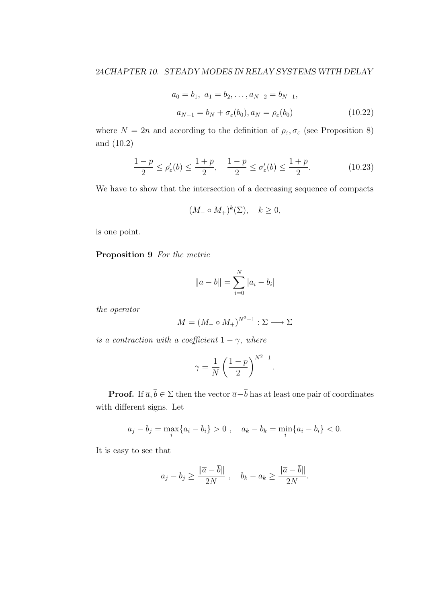$$
a_0 = b_1, \ a_1 = b_2, \dots, a_{N-2} = b_{N-1},
$$
  

$$
a_{N-1} = b_N + \sigma_{\varepsilon}(b_0), a_N = \rho_{\varepsilon}(b_0)
$$
 (10.22)

where  $N = 2n$  and according to the definition of  $\rho_{\varepsilon}, \sigma_{\varepsilon}$  (see Proposition 8) and (10.2)

$$
\frac{1-p}{2} \le \rho_{\varepsilon}'(b) \le \frac{1+p}{2}, \quad \frac{1-p}{2} \le \sigma_{\varepsilon}'(b) \le \frac{1+p}{2}.
$$
 (10.23)

We have to show that the intersection of a decreasing sequence of compacts

$$
(M_- \circ M_+)^k(\Sigma), \quad k \ge 0,
$$

is one point.

Proposition 9 For the metric

$$
\|\overline{a} - \overline{b}\| = \sum_{i=0}^{N} |a_i - b_i|
$$

the operator

$$
M = (M_- \circ M_+)^{N^2 - 1} : \Sigma \longrightarrow \Sigma
$$

is a contraction with a coefficient  $1 - \gamma$ , where

$$
\gamma = \frac{1}{N} \left( \frac{1-p}{2} \right)^{N^2 - 1}.
$$

**Proof.** If  $\overline{a}$ ,  $\overline{b} \in \Sigma$  then the vector  $\overline{a}-\overline{b}$  has at least one pair of coordinates with different signs. Let

$$
a_j - b_j = \max_i \{a_i - b_i\} > 0
$$
,  $a_k - b_k = \min_i \{a_i - b_i\} < 0$ .

It is easy to see that

$$
a_j - b_j \ge \frac{\|\overline{a} - \overline{b}\|}{2N}
$$
,  $b_k - a_k \ge \frac{\|\overline{a} - \overline{b}\|}{2N}$ .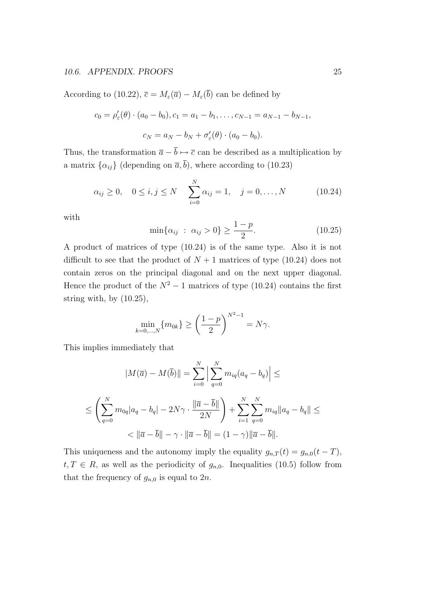According to (10.22),  $\bar{c} = M_{\varepsilon}(\bar{a}) - M_{\varepsilon}(\bar{b})$  can be defined by

$$
c_0 = \rho'_{\varepsilon}(\theta) \cdot (a_0 - b_0), c_1 = a_1 - b_1, \dots, c_{N-1} = a_{N-1} - b_{N-1},
$$
  

$$
c_N = a_N - b_N + \sigma'_{\varepsilon}(\theta) \cdot (a_0 - b_0).
$$

Thus, the transformation  $\bar{a} - \bar{b} \mapsto \bar{c}$  can be described as a multiplication by a matrix  $\{\alpha_{ij}\}\$  (depending on  $\overline{a}, \overline{b}$ ), where according to (10.23)

$$
\alpha_{ij} \ge 0, \quad 0 \le i, j \le N
$$
  $\sum_{i=0}^{N} \alpha_{ij} = 1, \quad j = 0, ..., N$  (10.24)

with

$$
\min\{\alpha_{ij} \; : \; \alpha_{ij} > 0\} \ge \frac{1-p}{2}.\tag{10.25}
$$

A product of matrices of type (10.24) is of the same type. Also it is not difficult to see that the product of  $N + 1$  matrices of type (10.24) does not contain zeros on the principal diagonal and on the next upper diagonal. Hence the product of the  $N^2 - 1$  matrices of type (10.24) contains the first string with, by (10.25),

$$
\min_{k=0,\dots,N} \{m_{0k}\} \ge \left(\frac{1-p}{2}\right)^{N^2-1} = N\gamma.
$$

This implies immediately that

$$
|M(\overline{a}) - M(\overline{b})| = \sum_{i=0}^{N} \left| \sum_{q=0}^{N} m_{iq} (a_q - b_q) \right| \le
$$
  

$$
\leq \left( \sum_{q=0}^{N} m_{0q} |a_q - b_q| - 2N\gamma \cdot \frac{\|\overline{a} - \overline{b}\|}{2N} \right) + \sum_{i=1}^{N} \sum_{q=0}^{N} m_{iq} ||a_q - b_q|| \le
$$
  

$$
< \|\overline{a} - \overline{b}\| - \gamma \cdot \|\overline{a} - \overline{b}\| = (1 - \gamma) \|\overline{a} - \overline{b}\|.
$$

This uniqueness and the autonomy imply the equality  $g_{n,T}(t) = g_{n,0}(t - T)$ ,  $t, T \in R$ , as well as the periodicity of  $g_{n,0}$ . Inequalities (10.5) follow from that the frequency of  $g_{n,0}$  is equal to  $2n$ .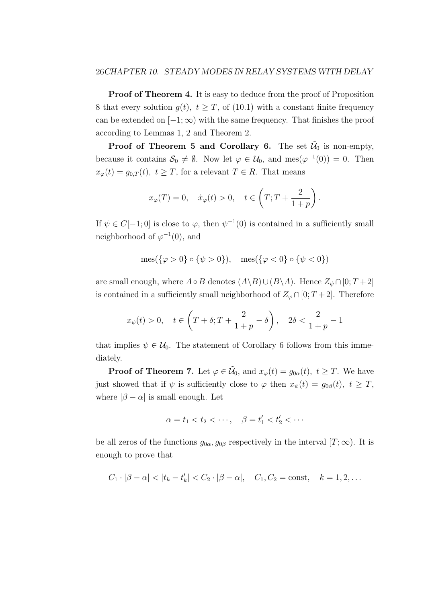**Proof of Theorem 4.** It is easy to deduce from the proof of Proposition 8 that every solution  $g(t)$ ,  $t \geq T$ , of (10.1) with a constant finite frequency can be extended on  $[-1; \infty)$  with the same frequency. That finishes the proof according to Lemmas 1, 2 and Theorem 2.

**Proof of Theorem 5 and Corollary 6.** The set  $\tilde{\mathcal{U}}_0$  is non-empty, because it contains  $S_0 \neq \emptyset$ . Now let  $\varphi \in \mathcal{U}_0$ , and mes $(\varphi^{-1}(0)) = 0$ . Then  $x_{\varphi}(t) = g_{0,T}(t), t \geq T$ , for a relevant  $T \in R$ . That means

$$
x_{\varphi}(T) = 0
$$
,  $\dot{x}_{\varphi}(t) > 0$ ,  $t \in \left(T; T + \frac{2}{1+p}\right)$ .

If  $\psi \in C[-1,0]$  is close to  $\varphi$ , then  $\psi^{-1}(0)$  is contained in a sufficiently small neighborhood of  $\varphi^{-1}(0)$ , and

$$
mes({\varphi > 0} \circ {\psi > 0}), \quad mes({\varphi < 0} \circ {\psi < 0})
$$

are small enough, where  $A \circ B$  denotes  $(A \setminus B) \cup (B \setminus A)$ . Hence  $Z_{\psi} \cap [0; T + 2]$ is contained in a sufficiently small neighborhood of  $Z_{\varphi} \cap [0; T + 2]$ . Therefore

$$
x_{\psi}(t) > 0
$$
,  $t \in \left(T + \delta; T + \frac{2}{1+p} - \delta\right)$ ,  $2\delta < \frac{2}{1+p} - 1$ 

that implies  $\psi \in \mathcal{U}_0$ . The statement of Corollary 6 follows from this immediately.

**Proof of Theorem 7.** Let  $\varphi \in \tilde{\mathcal{U}}_0$ , and  $x_{\varphi}(t) = g_{0\alpha}(t)$ ,  $t \geq T$ . We have just showed that if  $\psi$  is sufficiently close to  $\varphi$  then  $x_{\psi}(t) = g_{0\beta}(t), t \geq T$ , where  $|\beta - \alpha|$  is small enough. Let

$$
\alpha = t_1 < t_2 < \cdots, \quad \beta = t'_1 < t'_2 < \cdots
$$

be all zeros of the functions  $g_{0\alpha}, g_{0\beta}$  respectively in the interval  $[T; \infty)$ . It is enough to prove that

$$
C_1 \cdot |\beta - \alpha| < |t_k - t'_k| < C_2 \cdot |\beta - \alpha|
$$
,  $C_1, C_2 = \text{const}$ ,  $k = 1, 2, ...$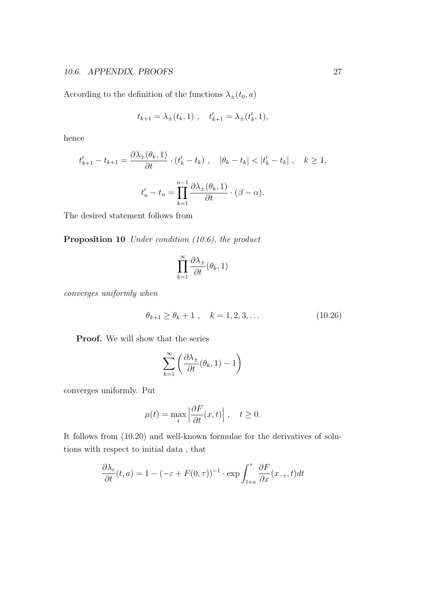According to the definition of the functions  $\lambda_{\pm}(t_0,a)$ 

$$
t_{k+1} = \lambda_{\pm}(t_k,1) \ , \quad t'_{k+1} = \lambda_{\pm}(t'_k,1),
$$

hence

$$
t'_{k+1} - t_{k+1} = \frac{\partial \lambda_{\pm}(\theta_k, 1)}{\partial t} \cdot (t'_k - t_k), \quad |\theta_k - t_k| < |t'_k - t_k|, \quad k \ge 1,
$$
\n
$$
t'_n - t_n = \prod_{k=1}^{n-1} \frac{\partial \lambda_{\pm}(\theta_k, 1)}{\partial t} \cdot (\beta - \alpha).
$$

The desired statement follows from

Proposition 10 Under condition (10.6), the product

$$
\prod_{k=1}^{\infty} \frac{\partial \lambda_{\pm}}{\partial t}(\theta_k, 1)
$$

converges uniformly when

$$
\theta_{k+1} \ge \theta_k + 1 \;, \quad k = 1, 2, 3, \dots \tag{10.26}
$$

Proof. We will show that the series

$$
\sum_{k=1}^{\infty} \left( \frac{\partial \lambda_{\pm}}{\partial t} (\theta_k, 1) - 1 \right)
$$

converges uniformly. Put

$$
\mu(t) = \max_{x} \left| \frac{\partial F}{\partial t}(x, t) \right|, \quad t \ge 0.
$$

It follows from (10.20) and well-known formulae for the derivatives of solutions with respect to initial data , that

$$
\frac{\partial \lambda_{\varepsilon}}{\partial t}(t, a) = 1 - (-\varepsilon + F(0, \tau))^{-1} \cdot \exp \int_{t+a}^{\tau} \frac{\partial F}{\partial x}(x_{-\varepsilon}, t) dt
$$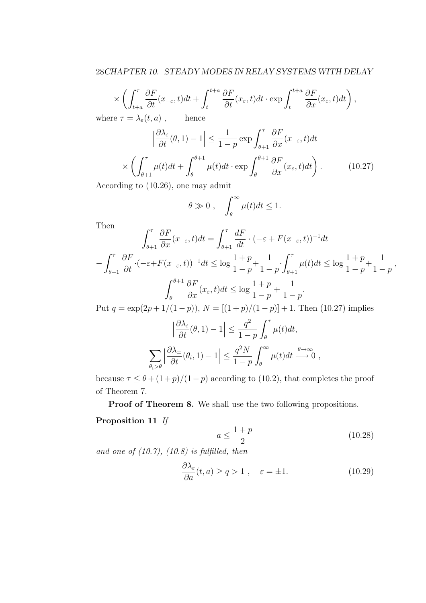$$
\times \left( \int_{t+a}^{\tau} \frac{\partial F}{\partial t}(x_{-\varepsilon},t)dt + \int_{t}^{t+a} \frac{\partial F}{\partial t}(x_{\varepsilon},t)dt \cdot \exp \int_{t}^{t+a} \frac{\partial F}{\partial x}(x_{\varepsilon},t)dt \right),
$$

where  $\tau = \lambda_{\varepsilon}(t, a)$ , hence

$$
\left| \frac{\partial \lambda_{\varepsilon}}{\partial t}(\theta, 1) - 1 \right| \le \frac{1}{1 - p} \exp \int_{\theta + 1}^{\tau} \frac{\partial F}{\partial x}(x_{-\varepsilon}, t) dt
$$

$$
\times \left( \int_{\theta + 1}^{\tau} \mu(t) dt + \int_{\theta}^{\theta + 1} \mu(t) dt \cdot \exp \int_{\theta}^{\theta + 1} \frac{\partial F}{\partial x}(x_{\varepsilon}, t) dt \right). \tag{10.27}
$$

According to (10.26), one may admit

$$
\theta \gg 0
$$
,  $\int_{\theta}^{\infty} \mu(t)dt \leq 1$ .

Then

Then  
\n
$$
\int_{\theta+1}^{\tau} \frac{\partial F}{\partial x}(x_{-\varepsilon},t)dt = \int_{\theta+1}^{\tau} \frac{dF}{dt} \cdot (-\varepsilon + F(x_{-\varepsilon},t))^{-1} dt
$$
\n
$$
-\int_{\theta+1}^{\tau} \frac{\partial F}{\partial t} \cdot (-\varepsilon + F(x_{-\varepsilon},t))^{-1} dt \le \log \frac{1+p}{1-p} + \frac{1}{1-p} \cdot \int_{\theta+1}^{\tau} \mu(t) dt \le \log \frac{1+p}{1-p} + \frac{1}{1-p},
$$
\n
$$
\int_{\theta}^{\theta+1} \frac{\partial F}{\partial x}(x_{\varepsilon},t) dt \le \log \frac{1+p}{1-p} + \frac{1}{1-p}.
$$
\nPut  $a = \exp(2p + 1/(1-p))$ ,  $N = [(1+p)/(1-p)] + 1$ . Then (10.27) implies

Put  $q = \exp(2p + 1/(1 - p))$ ,  $N = [(1 + p)/(1 - p)] + 1$ . Then (10.27) implies  $\overline{a}$  $q^2 \int_0^{\tau}$ 

$$
\left|\frac{\partial \lambda_{\varepsilon}}{\partial t}(\theta,1) - 1\right| \leq \frac{q^2}{1-p} \int_{\theta}^{\tau} \mu(t)dt,
$$

$$
\sum_{\theta_i > \theta} \left|\frac{\partial \lambda_{\pm}}{\partial t}(\theta_i,1) - 1\right| \leq \frac{q^2 N}{1-p} \int_{\theta}^{\infty} \mu(t)dt \xrightarrow{\theta \to \infty} 0,
$$

because  $\tau \leq \theta + (1+p)/(1-p)$  according to (10.2), that completes the proof of Theorem 7.

Proof of Theorem 8. We shall use the two following propositions.

#### Proposition 11 If

$$
a \le \frac{1+p}{2} \tag{10.28}
$$

and one of  $(10.7)$ ,  $(10.8)$  is fulfilled, then

$$
\frac{\partial \lambda_{\varepsilon}}{\partial a}(t, a) \ge q > 1 \; , \quad \varepsilon = \pm 1. \tag{10.29}
$$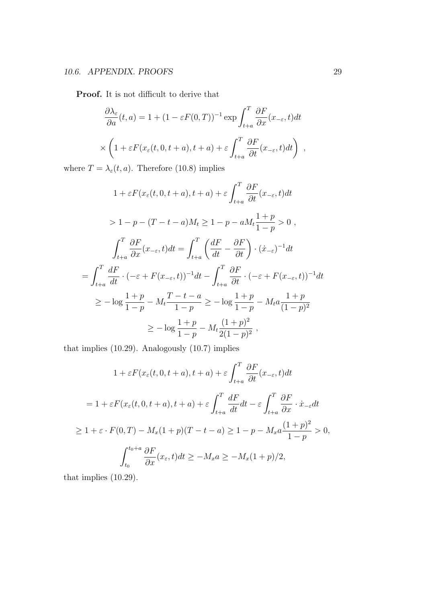#### 10.6. APPENDIX. PROOFS 29

Proof. It is not difficult to derive that

$$
\frac{\partial \lambda_{\varepsilon}}{\partial a}(t, a) = 1 + (1 - \varepsilon F(0, T))^{-1} \exp \int_{t+a}^{T} \frac{\partial F}{\partial x}(x_{-\varepsilon}, t) dt
$$

$$
\times \left(1 + \varepsilon F(x_{\varepsilon}(t, 0, t+a), t+a) + \varepsilon \int_{t+a}^{T} \frac{\partial F}{\partial t}(x_{-\varepsilon}, t) dt\right) ,
$$

where  $T = \lambda_{\varepsilon}(t, a)$ . Therefore (10.8) implies

$$
1 + \varepsilon F(x_{\varepsilon}(t, 0, t + a), t + a) + \varepsilon \int_{t+a}^{T} \frac{\partial F}{\partial t}(x_{-\varepsilon}, t)dt
$$
  
\n
$$
> 1 - p - (T - t - a)M_t \ge 1 - p - aM_t \frac{1+p}{1-p} > 0,
$$
  
\n
$$
\int_{t+a}^{T} \frac{\partial F}{\partial x}(x_{-\varepsilon}, t)dt = \int_{t+a}^{T} \left(\frac{dF}{dt} - \frac{\partial F}{\partial t}\right) \cdot (\dot{x}_{-\varepsilon})^{-1}dt
$$
  
\n
$$
= \int_{t+a}^{T} \frac{dF}{dt} \cdot (-\varepsilon + F(x_{-\varepsilon}, t))^{-1}dt - \int_{t+a}^{T} \frac{\partial F}{\partial t} \cdot (-\varepsilon + F(x_{-\varepsilon}, t))^{-1}dt
$$
  
\n
$$
\ge -\log \frac{1+p}{1-p} - M_t \frac{T-t-a}{1-p} \ge -\log \frac{1+p}{1-p} - M_t a \frac{1+p}{(1-p)^2}
$$
  
\n
$$
\ge -\log \frac{1+p}{1-p} - M_t \frac{(1+p)^2}{2(1-p)^2},
$$

that implies (10.29). Analogously (10.7) implies

$$
1 + \varepsilon F(x_{\varepsilon}(t, 0, t + a), t + a) + \varepsilon \int_{t+a}^{T} \frac{\partial F}{\partial t}(x_{-\varepsilon}, t)dt
$$
  

$$
= 1 + \varepsilon F(x_{\varepsilon}(t, 0, t + a), t + a) + \varepsilon \int_{t+a}^{T} \frac{dF}{dt} dt - \varepsilon \int_{t+a}^{T} \frac{\partial F}{\partial x} \cdot \dot{x}_{-\varepsilon} dt
$$
  

$$
\geq 1 + \varepsilon \cdot F(0, T) - M_x(1+p)(T-t-a) \geq 1 - p - M_x a \frac{(1+p)^2}{1-p} > 0,
$$
  

$$
\int_{t_0}^{t_0+a} \frac{\partial F}{\partial x}(x_{\varepsilon}, t) dt \geq -M_x a \geq -M_x (1+p)/2,
$$

that implies (10.29).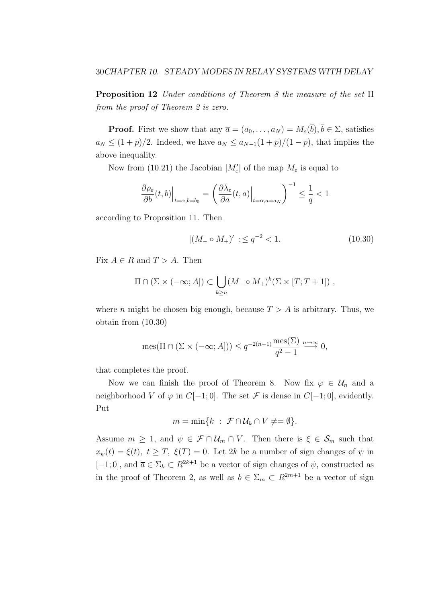Proposition 12 Under conditions of Theorem 8 the measure of the set Π from the proof of Theorem 2 is zero.

**Proof.** First we show that any  $\overline{a} = (a_0, \ldots, a_N) = M_{\varepsilon}(\overline{b}), \overline{b} \in \Sigma$ , satisfies  $a_N \leq (1+p)/2$ . Indeed, we have  $a_N \leq a_{N-1}(1+p)/(1-p)$ , that implies the above inequality.

Now from (10.21) the Jacobian  $|M'_{\varepsilon}|$  of the map  $M_{\varepsilon}$  is equal to

$$
\frac{\partial \rho_{\varepsilon}}{\partial b}(t,b)\Big|_{t=\alpha,b=b_0}=\left(\frac{\partial \lambda_{\varepsilon}}{\partial a}(t,a)\Big|_{t=\alpha,a=a_N}\right)^{-1}\leq \frac{1}{q}<1
$$

according to Proposition 11. Then

$$
|(M_{-} \circ M_{+})' : \leq q^{-2} < 1. \tag{10.30}
$$

Fix  $A \in R$  and  $T > A$ . Then

$$
\Pi \cap (\Sigma \times (-\infty; A]) \subset \bigcup_{k \ge n} (M_- \circ M_+)^k (\Sigma \times [T; T+1]) ,
$$

where *n* might be chosen big enough, because  $T > A$  is arbitrary. Thus, we obtain from (10.30)

$$
\operatorname{mes}(\Pi \cap (\Sigma \times (-\infty; A])) \le q^{-2(n-1)} \frac{\operatorname{mes}(\Sigma)}{q^2 - 1} \xrightarrow{n \to \infty} 0,
$$

that completes the proof.

Now we can finish the proof of Theorem 8. Now fix  $\varphi \in \mathcal{U}_n$  and a neighborhood V of  $\varphi$  in  $C[-1,0]$ . The set F is dense in  $C[-1,0]$ , evidently. Put

$$
m = \min\{k : \mathcal{F} \cap \mathcal{U}_k \cap V \neq \emptyset\}.
$$

Assume  $m \geq 1$ , and  $\psi \in \mathcal{F} \cap \mathcal{U}_m \cap V$ . Then there is  $\xi \in \mathcal{S}_m$  such that  $x_{\psi}(t) = \xi(t), t \geq T, \xi(T) = 0.$  Let 2k be a number of sign changes of  $\psi$  in  $[-1, 0]$ , and  $\overline{a} \in \Sigma_k \subset R^{2k+1}$  be a vector of sign changes of  $\psi$ , constructed as in the proof of Theorem 2, as well as  $\bar{b} \in \Sigma_m \subset R^{2m+1}$  be a vector of sign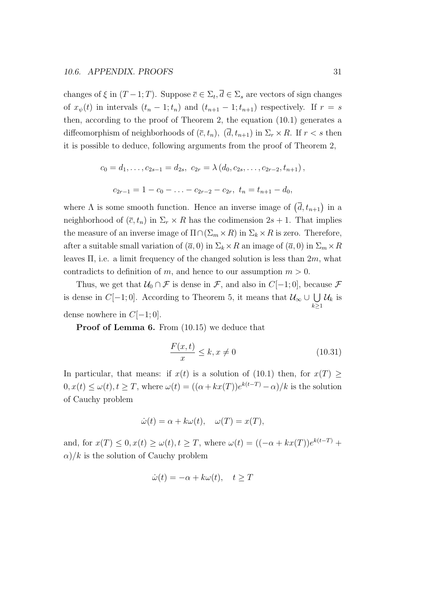changes of  $\xi$  in  $(T-1;T)$ . Suppose  $\overline{c} \in \Sigma_t, \overline{d} \in \Sigma_s$  are vectors of sign changes of  $x_{\psi}(t)$  in intervals  $(t_n - 1; t_n)$  and  $(t_{n+1} - 1; t_{n+1})$  respectively. If  $r = s$ then, according to the proof of Theorem 2, the equation (10.1) generates a diffeomorphism of neighborhoods of  $(\bar{c}, t_n)$ ,  $(\bar{d}, t_{n+1})$  in  $\Sigma_r \times R$ . If  $r < s$  then it is possible to deduce, following arguments from the proof of Theorem 2,

$$
c_0 = d_1, \dots, c_{2s-1} = d_{2s}, \ c_{2r} = \lambda (d_0, c_{2s}, \dots, c_{2r-2}, t_{n+1}),
$$
  

$$
c_{2r-1} = 1 - c_0 - \dots - c_{2r-2} - c_{2r}, \ t_n = t_{n+1} - d_0,
$$

where  $\Lambda$  is some smooth function. Hence an inverse image of  $(\bar{d}, t_{n+1})$  in a neighborhood of  $(\bar{c}, t_n)$  in  $\Sigma_r \times R$  has the codimension  $2s + 1$ . That implies the measure of an inverse image of  $\Pi \cap (\Sigma_m \times R)$  in  $\Sigma_k \times R$  is zero. Therefore, after a suitable small variation of  $(\bar{a}, 0)$  in  $\Sigma_k \times R$  an image of  $(\bar{a}, 0)$  in  $\Sigma_m \times R$ leaves  $\Pi$ , i.e. a limit frequency of the changed solution is less than  $2m$ , what contradicts to definition of m, and hence to our assumption  $m > 0$ .

Thus, we get that  $\mathcal{U}_0 \cap \mathcal{F}$  is dense in  $\mathcal{F}$ , and also in  $C[-1,0]$ , because  $\mathcal{F}$ is dense in  $C[-1,0]$ . According to Theorem 5, it means that  $\mathcal{U}_{\infty} \cup \bigcup \mathcal{U}_k$  is  $k\geq 1$ dense nowhere in  $C[-1;0]$ .

Proof of Lemma 6. From (10.15) we deduce that

$$
\frac{F(x,t)}{x} \le k, x \ne 0 \tag{10.31}
$$

In particular, that means: if  $x(t)$  is a solution of (10.1) then, for  $x(T)$  >  $0, x(t) \leq \omega(t), t \geq T$ , where  $\omega(t) = ((\alpha + kx(T))e^{k(t-T)} - \alpha)/k$  is the solution of Cauchy problem

$$
\dot{\omega}(t) = \alpha + k\omega(t), \quad \omega(T) = x(T),
$$

and, for  $x(T) \leq 0, x(t) \geq \omega(t), t \geq T$ , where  $\omega(t) = ((-\alpha + kx(T))e^{k(t-T)} +$  $\alpha$ / $k$  is the solution of Cauchy problem

$$
\dot{\omega}(t) = -\alpha + k\omega(t), \quad t \ge T
$$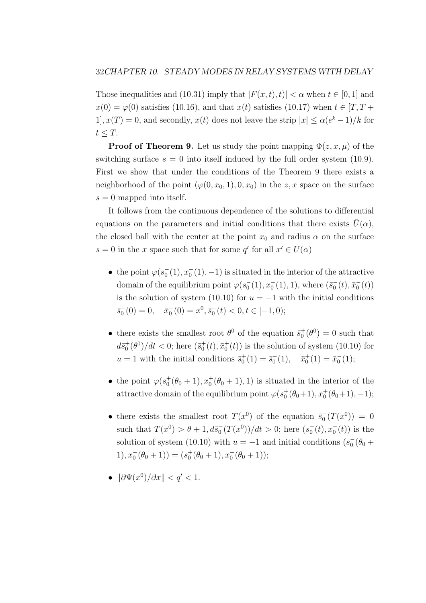Those inequalities and (10.31) imply that  $|F(x,t), t| < \alpha$  when  $t \in [0, 1]$  and  $x(0) = \varphi(0)$  satisfies (10.16), and that  $x(t)$  satisfies (10.17) when  $t \in [T, T +$ 1,  $x(T) = 0$ , and secondly,  $x(t)$  does not leave the strip  $|x| \le \alpha (e^k - 1)/k$  for  $t \leq T$ .

**Proof of Theorem 9.** Let us study the point mapping  $\Phi(z, x, \mu)$  of the switching surface  $s = 0$  into itself induced by the full order system (10.9). First we show that under the conditions of the Theorem 9 there exists a neighborhood of the point  $(\varphi(0, x_0, 1), 0, x_0)$  in the z, x space on the surface  $s = 0$  mapped into itself.

It follows from the continuous dependence of the solutions to differential equations on the parameters and initial conditions that there exists  $U(\alpha)$ , the closed ball with the center at the point  $x_0$  and radius  $\alpha$  on the surface  $s = 0$  in the x space such that for some q' for all  $x' \in U(\alpha)$ 

- the point  $\varphi(s_0^{-}(1), x_0^{-}(1), -1)$  is situated in the interior of the attractive domain of the equilibrium point  $\varphi(s_0^{-}(1), x_0^{-}(1), 1)$ , where  $(\bar{s}_0^{-}(t), \bar{x}_0^{-}(t))$ is the solution of system (10.10) for  $u = -1$  with the initial conditions  $\bar{s}_0(0) = 0, \quad \bar{x}_0(0) = x^0, \bar{s}_0(t) < 0, t \in [-1, 0);$
- there exists the smallest root  $\theta^0$  of the equation  $\bar{s}_0^+(\theta^0) = 0$  such that  $d\bar{s}_0^+(\theta^0)/dt < 0$ ; here  $(\bar{s}_0^+(t), \bar{x}_0^+(t))$  is the solution of system (10.10) for  $u = 1$  with the initial conditions  $\bar{s}_0^+(1) = \bar{s}_0^-(1)$ ,  $\bar{x}_0^+(1) = \bar{x}_0^-(1)$ ;
- the point  $\varphi(s_0^+(\theta_0+1), x_0^+(\theta_0+1), 1)$  is situated in the interior of the attractive domain of the equilibrium point  $\varphi(s_0^+(\theta_0+1), x_0^+(\theta_0+1), -1);$
- there exists the smallest root  $T(x^0)$  of the equation  $\bar{s}_0(T(x^0)) = 0$ such that  $T(x^0) > \theta + 1, d\bar{s}_0(T(x^0))/dt > 0$ ; here  $(s_0(t), x_0(t))$  is the solution of system (10.10) with  $u = -1$  and initial conditions  $(s_0^-(\theta_0 +$ 1),  $x_0^-(\theta_0+1)$  =  $(s_0^+(\theta_0+1), x_0^+(\theta_0+1))$ ;
- $\|\partial\Psi(x^0)/\partial x\| < q' < 1.$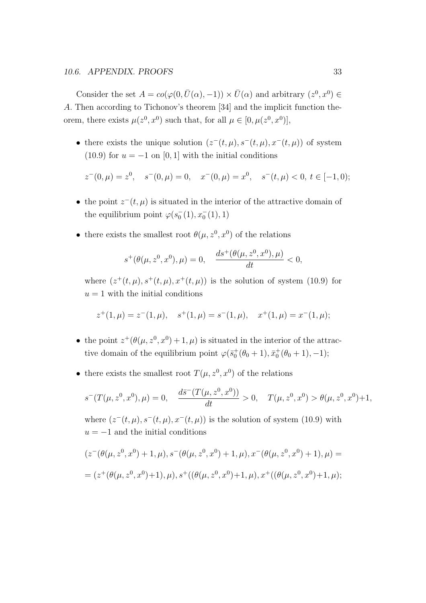Consider the set  $A = co(\varphi(0, \bar{U}(\alpha), -1)) \times \bar{U}(\alpha)$  and arbitrary  $(z^0, x^0) \in$ A. Then according to Tichonov's theorem [34] and the implicit function theorem, there exists  $\mu(z^0, x^0)$  such that, for all  $\mu \in [0, \mu(z^0, x^0)]$ ,

• there exists the unique solution  $(z^-(t, \mu), s^-(t, \mu), x^-(t, \mu))$  of system (10.9) for  $u = -1$  on [0, 1] with the initial conditions

$$
z^-(0,\mu) = z^0, \quad s^-(0,\mu) = 0, \quad x^-(0,\mu) = x^0, \quad s^-(t,\mu) < 0, \ t \in [-1,0);
$$

- the point  $z^-(t, \mu)$  is situated in the interior of the attractive domain of the equilibrium point  $\varphi(s_0^{-}(1), x_0^{-}(1), 1)$
- there exists the smallest root  $\theta(\mu, z^0, x^0)$  of the relations

$$
s^+(\theta(\mu, z^0, x^0), \mu) = 0, \quad \frac{ds^+(\theta(\mu, z^0, x^0), \mu)}{dt} < 0,
$$

where  $(z^+(t,\mu), s^+(t,\mu), x^+(t,\mu))$  is the solution of system (10.9) for  $u = 1$  with the initial conditions

$$
z^+(1,\mu) = z^-(1,\mu), \quad s^+(1,\mu) = s^-(1,\mu), \quad x^+(1,\mu) = x^-(1,\mu);
$$

- the point  $z^+(\theta(\mu, z^0, x^0) + 1, \mu)$  is situated in the interior of the attractive domain of the equilibrium point  $\varphi(\bar{s}_0^+(\theta_0+1), \bar{x}_0^+(\theta_0+1), -1);$
- there exists the smallest root  $T(\mu, z^0, x^0)$  of the relations

$$
s^-(T(\mu, z^0, x^0), \mu) = 0, \quad \frac{d\bar{s}^-(T(\mu, z^0, x^0))}{dt} > 0, \quad T(\mu, z^0, x^0) > \theta(\mu, z^0, x^0) + 1,
$$

where  $(z^-(t,\mu), s^-(t,\mu), x^-(t,\mu))$  is the solution of system (10.9) with  $u = -1$  and the initial conditions

$$
(z^-(\theta(\mu, z^0, x^0) + 1, \mu), s^-(\theta(\mu, z^0, x^0) + 1, \mu), x^-(\theta(\mu, z^0, x^0) + 1), \mu) =
$$
  
=  $(z^+(\theta(\mu, z^0, x^0) + 1), \mu), s^+(\theta(\mu, z^0, x^0) + 1, \mu), x^+(\theta(\mu, z^0, x^0) + 1, \mu);$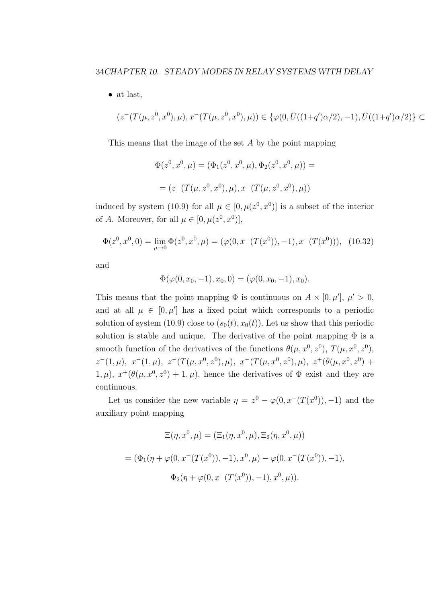• at last,

$$
(z^-(T(\mu,z^0,x^0),\mu),x^-(T(\mu,z^0,x^0),\mu))\in \{\varphi(0,\bar U((1+q')\alpha/2),-1),\bar U((1+q')\alpha/2)\}\subset
$$

This means that the image of the set A by the point mapping

$$
\Phi(z^0, x^0, \mu) = (\Phi_1(z^0, x^0, \mu), \Phi_2(z^0, x^0, \mu)) =
$$
  
=  $(z^-(T(\mu, z^0, x^0), \mu), x^-(T(\mu, z^0, x^0), \mu))$ 

induced by system (10.9) for all  $\mu \in [0, \mu(z^0, x^0)]$  is a subset of the interior of A. Moreover, for all  $\mu \in [0, \mu(z^0, x^0)],$ 

$$
\Phi(z^0, x^0, 0) = \lim_{\mu \to 0} \Phi(z^0, x^0, \mu) = (\varphi(0, x^-(T(x^0)), -1), x^-(T(x^0))), \tag{10.32}
$$

and

$$
\Phi(\varphi(0, x_0, -1), x_0, 0) = (\varphi(0, x_0, -1), x_0).
$$

This means that the point mapping  $\Phi$  is continuous on  $A \times [0, \mu'], \mu' > 0$ , and at all  $\mu \in [0, \mu']$  has a fixed point which corresponds to a periodic solution of system (10.9) close to  $(s_0(t), x_0(t))$ . Let us show that this periodic solution is stable and unique. The derivative of the point mapping  $\Phi$  is a smooth function of the derivatives of the functions  $\theta(\mu, x^0, z^0)$ ,  $T(\mu, x^0, z^0)$ ,  $z^-(1,\mu), \ x^-(1,\mu), \ z^-(T(\mu,x^0,z^0),\mu), \ x^-(T(\mu,x^0,z^0),\mu), \ z^+(\theta(\mu,x^0,z^0))$  $(1, \mu)$ ,  $x^+(\theta(\mu, x^0, z^0) + 1, \mu)$ , hence the derivatives of  $\Phi$  exist and they are continuous.

Let us consider the new variable  $\eta = z^0 - \varphi(0, x^{-1}(T(x^0)) - 1)$  and the auxiliary point mapping

$$
\Xi(\eta, x^0, \mu) = (\Xi_1(\eta, x^0, \mu), \Xi_2(\eta, x^0, \mu))
$$
  
=  $(\Phi_1(\eta + \varphi(0, x^-(T(x^0)), -1), x^0, \mu) - \varphi(0, x^-(T(x^0)), -1),$   
 $\Phi_2(\eta + \varphi(0, x^-(T(x^0)), -1), x^0, \mu)).$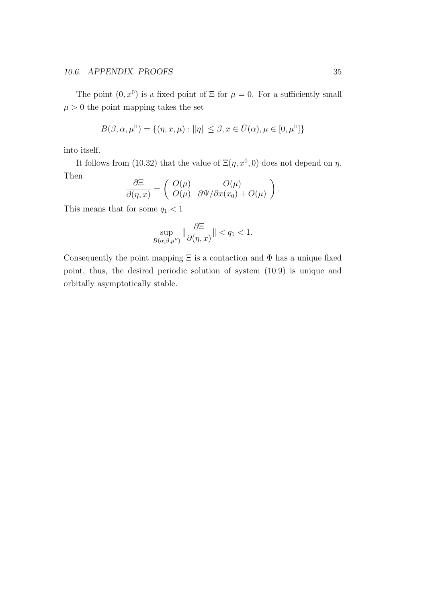The point  $(0, x^0)$  is a fixed point of  $\Xi$  for  $\mu = 0$ . For a sufficiently small  $\mu > 0$  the point mapping takes the set

$$
B(\beta, \alpha, \mu") = \{ (\eta, x, \mu) : ||\eta|| \le \beta, x \in \bar{U}(\alpha), \mu \in [0, \mu"] \}
$$

into itself.

It follows from (10.32) that the value of  $\Xi(\eta, x^0, 0)$  does not depend on  $\eta$ . Then  $\overline{a}$  $\mathbf{r}$ 

$$
\frac{\partial \Xi}{\partial(\eta, x)} = \begin{pmatrix} O(\mu) & O(\mu) \\ O(\mu) & \partial \Psi / \partial x(x_0) + O(\mu) \end{pmatrix}.
$$

This means that for some  $q_1 < 1$ 

$$
\sup_{B(\alpha,\beta,\mu'')}\|\frac{\partial\Xi}{\partial(\eta,x)}\|
$$

Consequently the point mapping  $\Xi$  is a contaction and  $\Phi$  has a unique fixed point, thus, the desired periodic solution of system (10.9) is unique and orbitally asymptotically stable.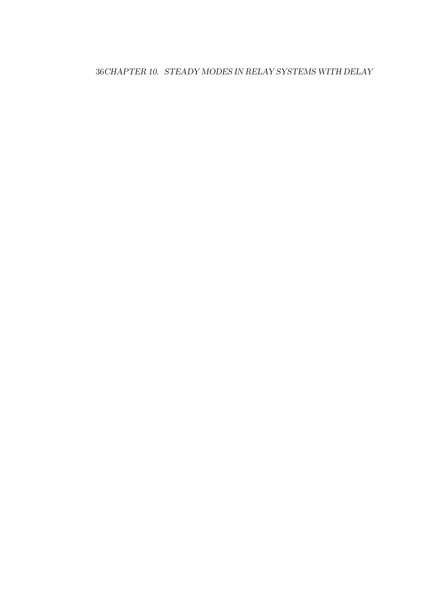## CHAPTER 10. STEADY MODES IN RELAY SYSTEMS WITH DELAY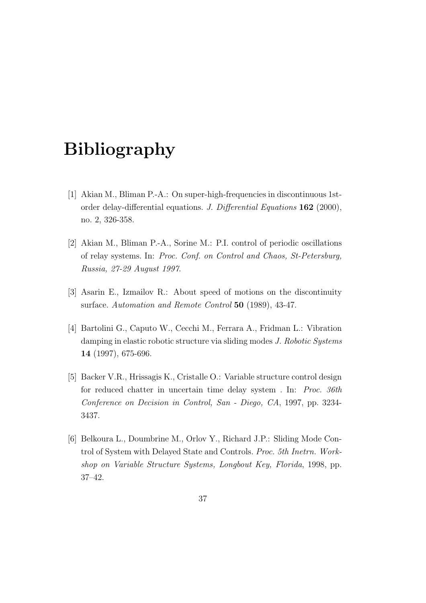# Bibliography

- [1] Akian M., Bliman P.-A.: On super-high-frequencies in discontinuous 1storder delay-differential equations. J. Differential Equations 162 (2000), no. 2, 326-358.
- [2] Akian M., Bliman P.-A., Sorine M.: P.I. control of periodic oscillations of relay systems. In: Proc. Conf. on Control and Chaos, St-Petersburg, Russia, 27-29 August 1997.
- [3] Asarin E., Izmailov R.: About speed of motions on the discontinuity surface. Automation and Remote Control 50 (1989), 43-47.
- [4] Bartolini G., Caputo W., Cecchi M., Ferrara A., Fridman L.: Vibration damping in elastic robotic structure via sliding modes J. Robotic Systems 14 (1997), 675-696.
- [5] Backer V.R., Hrissagis K., Cristalle O.: Variable structure control design for reduced chatter in uncertain time delay system . In: Proc. 36th Conference on Decision in Control, San - Diego, CA, 1997, pp. 3234- 3437.
- [6] Belkoura L., Doumbrine M., Orlov Y., Richard J.P.: Sliding Mode Control of System with Delayed State and Controls. Proc. 5th Inetrn. Workshop on Variable Structure Systems, Longbout Key, Florida, 1998, pp. 37–42.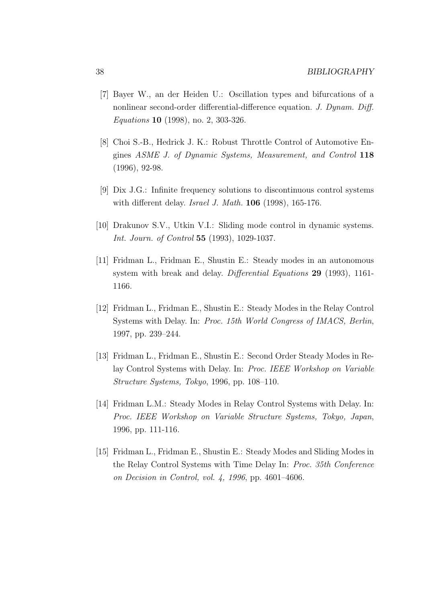- [7] Bayer W., an der Heiden U.: Oscillation types and bifurcations of a nonlinear second-order differential-difference equation. J. Dynam. Diff. Equations 10 (1998), no. 2, 303-326.
- [8] Choi S.-B., Hedrick J. K.: Robust Throttle Control of Automotive Engines ASME J. of Dynamic Systems, Measurement, and Control 118 (1996), 92-98.
- [9] Dix J.G.: Infinite frequency solutions to discontinuous control systems with different delay. *Israel J. Math.* **106** (1998), 165-176.
- [10] Drakunov S.V., Utkin V.I.: Sliding mode control in dynamic systems. Int. Journ. of Control 55 (1993), 1029-1037.
- [11] Fridman L., Fridman E., Shustin E.: Steady modes in an autonomous system with break and delay. Differential Equations 29 (1993), 1161-1166.
- [12] Fridman L., Fridman E., Shustin E.: Steady Modes in the Relay Control Systems with Delay. In: Proc. 15th World Congress of IMACS, Berlin, 1997, pp. 239–244.
- [13] Fridman L., Fridman E., Shustin E.: Second Order Steady Modes in Relay Control Systems with Delay. In: Proc. IEEE Workshop on Variable Structure Systems, Tokyo, 1996, pp. 108–110.
- [14] Fridman L.M.: Steady Modes in Relay Control Systems with Delay. In: Proc. IEEE Workshop on Variable Structure Systems, Tokyo, Japan, 1996, pp. 111-116.
- [15] Fridman L., Fridman E., Shustin E.: Steady Modes and Sliding Modes in the Relay Control Systems with Time Delay In: Proc. 35th Conference on Decision in Control, vol. 4, 1996, pp. 4601–4606.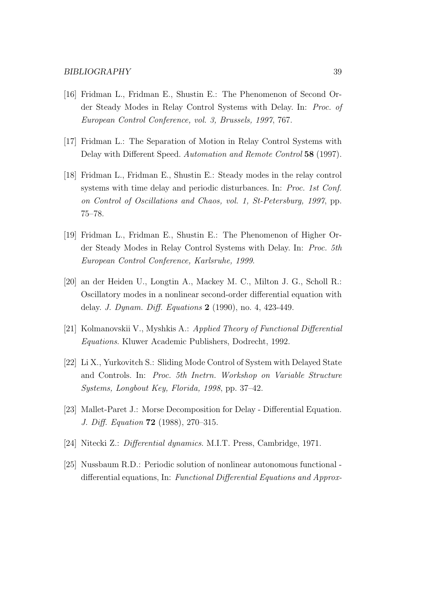- [16] Fridman L., Fridman E., Shustin E.: The Phenomenon of Second Order Steady Modes in Relay Control Systems with Delay. In: Proc. of European Control Conference, vol. 3, Brussels, 1997, 767.
- [17] Fridman L.: The Separation of Motion in Relay Control Systems with Delay with Different Speed. Automation and Remote Control 58 (1997).
- [18] Fridman L., Fridman E., Shustin E.: Steady modes in the relay control systems with time delay and periodic disturbances. In: Proc. 1st Conf. on Control of Oscillations and Chaos, vol. 1, St-Petersburg, 1997, pp. 75–78.
- [19] Fridman L., Fridman E., Shustin E.: The Phenomenon of Higher Order Steady Modes in Relay Control Systems with Delay. In: Proc. 5th European Control Conference, Karlsruhe, 1999.
- [20] an der Heiden U., Longtin A., Mackey M. C., Milton J. G., Scholl R.: Oscillatory modes in a nonlinear second-order differential equation with delay. J. Dynam. Diff. Equations 2 (1990), no. 4, 423-449.
- [21] Kolmanovskii V., Myshkis A.: Applied Theory of Functional Differential Equations. Kluwer Academic Publishers, Dodrecht, 1992.
- [22] Li X., Yurkovitch S.: Sliding Mode Control of System with Delayed State and Controls. In: Proc. 5th Inetrn. Workshop on Variable Structure Systems, Longbout Key, Florida, 1998, pp. 37–42.
- [23] Mallet-Paret J.: Morse Decomposition for Delay Differential Equation. J. Diff. Equation 72 (1988), 270–315.
- [24] Nitecki Z.: Differential dynamics. M.I.T. Press, Cambridge, 1971.
- [25] Nussbaum R.D.: Periodic solution of nonlinear autonomous functional differential equations, In: Functional Differential Equations and Approx-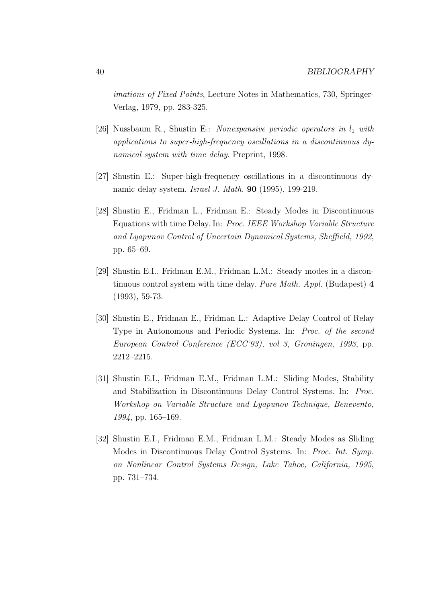imations of Fixed Points, Lecture Notes in Mathematics, 730, Springer-Verlag, 1979, pp. 283-325.

- [26] Nussbaum R., Shustin E.: Nonexpansive periodic operators in  $l_1$  with applications to super-high-frequency oscillations in a discontinuous dynamical system with time delay. Preprint, 1998.
- [27] Shustin E.: Super-high-frequency oscillations in a discontinuous dynamic delay system. Israel J. Math. 90 (1995), 199-219.
- [28] Shustin E., Fridman L., Fridman E.: Steady Modes in Discontinuous Equations with time Delay. In: Proc. IEEE Workshop Variable Structure and Lyapunov Control of Uncertain Dynamical Systems, Sheffield, 1992, pp. 65–69.
- [29] Shustin E.I., Fridman E.M., Fridman L.M.: Steady modes in a discontinuous control system with time delay. Pure Math. Appl. (Budapest) 4 (1993), 59-73.
- [30] Shustin E., Fridman E., Fridman L.: Adaptive Delay Control of Relay Type in Autonomous and Periodic Systems. In: Proc. of the second European Control Conference (ECC'93), vol 3, Groningen, 1993, pp. 2212–2215.
- [31] Shustin E.I., Fridman E.M., Fridman L.M.: Sliding Modes, Stability and Stabilization in Discontinuous Delay Control Systems. In: Proc. Workshop on Variable Structure and Lyapunov Technique, Benevento, 1994, pp. 165–169.
- [32] Shustin E.I., Fridman E.M., Fridman L.M.: Steady Modes as Sliding Modes in Discontinuous Delay Control Systems. In: Proc. Int. Symp. on Nonlinear Control Systems Design, Lake Tahoe, California, 1995, pp. 731–734.